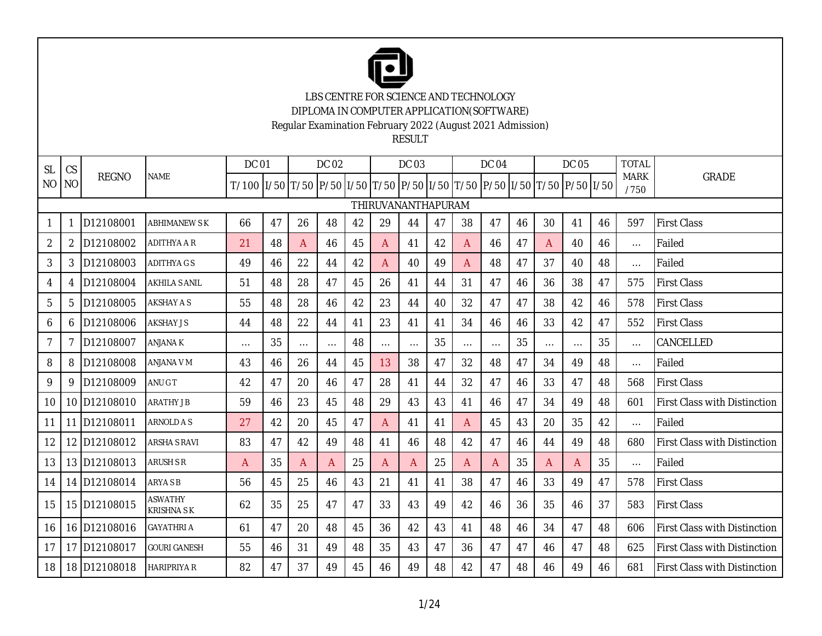

LBS CENTRE FOR SCIENCE AND TECHNOLOGY DIPLOMA IN COMPUTER APPLICATION(SOFTWARE)

Regular Examination February 2022 (August 2021 Admission)

RESULT

| <b>SL</b>  | CS        |              |                                    | <b>DC 01</b>                                                                                     |    |          | <b>DC 02</b>   |    |                    | <b>DC 03</b> |    |          | <b>DC 04</b> |    |          | <b>DC 05</b> |    | <b>TOTAL</b>        |                                     |
|------------|-----------|--------------|------------------------------------|--------------------------------------------------------------------------------------------------|----|----------|----------------|----|--------------------|--------------|----|----------|--------------|----|----------|--------------|----|---------------------|-------------------------------------|
| <b>NO</b>  | <b>NO</b> | <b>REGNO</b> | <b>NAME</b>                        | T/100   1/50   T/50   P/50   1/50   T/50   P/50   1/50   T/50   P/50   1/50   T/50   P/50   1/50 |    |          |                |    |                    |              |    |          |              |    |          |              |    | <b>MARK</b><br>/750 | <b>GRADE</b>                        |
|            |           |              |                                    |                                                                                                  |    |          |                |    | THIRUVANANTHAPURAM |              |    |          |              |    |          |              |    |                     |                                     |
| 1          |           | D12108001    | <b>ABHIMANEW SK</b>                | 66                                                                                               | 47 | 26       | 48             | 42 | 29                 | 44           | 47 | 38       | 47           | 46 | 30       | 41           | 46 | 597                 | <b>First Class</b>                  |
| 2          | 2         | D12108002    | ADITHYA A R                        | 21                                                                                               | 48 | A        | 46             | 45 | A                  | 41           | 42 | A        | 46           | 47 | A        | 40           | 46 | $\cdots$            | Failed                              |
| $\sqrt{3}$ | 3         | D12108003    | <b>ADITHYAGS</b>                   | 49                                                                                               | 46 | 22       | 44             | 42 | A                  | 40           | 49 | A        | 48           | 47 | 37       | 40           | 48 | $\cdots$            | Failed                              |
| 4          | 4         | D12108004    | <b>AKHILA S ANIL</b>               | 51                                                                                               | 48 | 28       | 47             | 45 | 26                 | 41           | 44 | 31       | 47           | 46 | 36       | 38           | 47 | 575                 | <b>First Class</b>                  |
| 5          | 5         | D12108005    | <b>AKSHAY A S</b>                  | 55                                                                                               | 48 | 28       | 46             | 42 | 23                 | 44           | 40 | 32       | 47           | 47 | 38       | 42           | 46 | 578                 | <b>First Class</b>                  |
| 6          | 6         | D12108006    | <b>AKSHAYJS</b>                    | 44                                                                                               | 48 | 22       | 44             | 41 | 23                 | 41           | 41 | 34       | 46           | 46 | 33       | 42           | 47 | 552                 | <b>First Class</b>                  |
| 7          |           | D12108007    | <b>ANJANA K</b>                    | $\cdots$                                                                                         | 35 | $\cdots$ | $\ldots$       | 48 | $\cdots$           | $\cdots$     | 35 | $\cdots$ | $\ldots$     | 35 | $\cdots$ | $\ldots$     | 35 | $\cdots$            | CANCELLED                           |
| 8          | 8         | D12108008    | <b>M V ANALIA</b>                  | 43                                                                                               | 46 | 26       | 44             | 45 | 13                 | 38           | 47 | 32       | 48           | 47 | 34       | 49           | 48 | $\cdots$            | Failed                              |
| 9          | 9         | D12108009    | ANU G T                            | 42                                                                                               | 47 | 20       | 46             | 47 | 28                 | 41           | 44 | 32       | 47           | 46 | 33       | 47           | 48 | 568                 | <b>First Class</b>                  |
| 10         |           | 10 D12108010 | <b>ARATHY JB</b>                   | 59                                                                                               | 46 | 23       | 45             | 48 | 29                 | 43           | 43 | 41       | 46           | 47 | 34       | 49           | 48 | 601                 | <b>First Class with Distinction</b> |
| 11         | 11        | D12108011    | <b>ARNOLD A S</b>                  | 27                                                                                               | 42 | 20       | 45             | 47 | A                  | 41           | 41 | A        | 45           | 43 | 20       | 35           | 42 | $\cdots$            | Failed                              |
| 12         |           | 12 D12108012 | <b>ARSHA S RAVI</b>                | 83                                                                                               | 47 | 42       | 49             | 48 | 41                 | 46           | 48 | 42       | 47           | 46 | 44       | 49           | 48 | 680                 | <b>First Class with Distinction</b> |
| 13         |           | 13 D12108013 | <b>ARUSH S R</b>                   | A                                                                                                | 35 | A        | $\overline{A}$ | 25 | A                  | A            | 25 | A        | A            | 35 | A        | A            | 35 | $\cdots$            | Failed                              |
| 14         |           | 14 D12108014 | <b>ARYA S B</b>                    | 56                                                                                               | 45 | 25       | 46             | 43 | 21                 | 41           | 41 | 38       | 47           | 46 | 33       | 49           | 47 | 578                 | <b>First Class</b>                  |
| 15         |           | 15 D12108015 | <b>ASWATHY</b><br><b>KRISHNASK</b> | 62                                                                                               | 35 | 25       | 47             | 47 | 33                 | 43           | 49 | 42       | 46           | 36 | 35       | 46           | 37 | 583                 | <b>First Class</b>                  |
| 16         |           | 16 D12108016 | <b>GAYATHRI A</b>                  | 61                                                                                               | 47 | 20       | 48             | 45 | 36                 | 42           | 43 | 41       | 48           | 46 | 34       | 47           | 48 | 606                 | <b>First Class with Distinction</b> |
| 17         |           | 17 D12108017 | <b>GOURI GANESH</b>                | 55                                                                                               | 46 | 31       | 49             | 48 | 35                 | 43           | 47 | 36       | 47           | 47 | 46       | 47           | 48 | 625                 | <b>First Class with Distinction</b> |
| 18         |           | 18 D12108018 | <b>HARIPRIYA R</b>                 | 82                                                                                               | 47 | 37       | 49             | 45 | 46                 | 49           | 48 | 42       | 47           | 48 | 46       | 49           | 46 | 681                 | <b>First Class with Distinction</b> |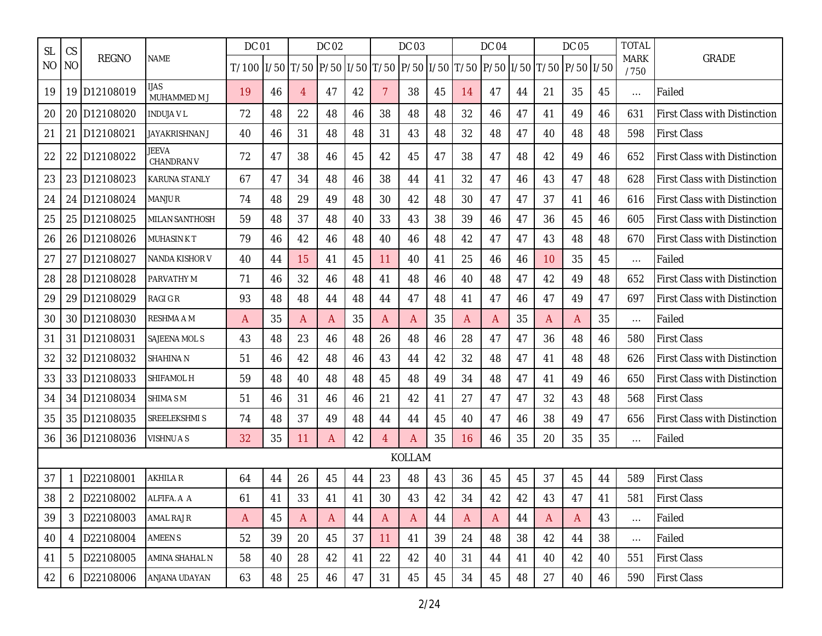| <b>SL</b> | CS             |              |                                   | <b>DC 01</b> |    |                | DC 02 |    |                                                                       | <b>DC 03</b>  |    |    | <b>DC 04</b> |    |              | <b>DC 05</b> |    | <b>TOTAL</b>        |                                     |
|-----------|----------------|--------------|-----------------------------------|--------------|----|----------------|-------|----|-----------------------------------------------------------------------|---------------|----|----|--------------|----|--------------|--------------|----|---------------------|-------------------------------------|
| <b>NO</b> | N <sub>O</sub> | <b>REGNO</b> | NAME                              | T/100        |    |                |       |    | 1/50 T/50 P/50 1/50 T/50 P/50 1/50 T/50 P/50 P/50 1/50 T/50 P/50 1/50 |               |    |    |              |    |              |              |    | <b>MARK</b><br>/750 | <b>GRADE</b>                        |
| 19        |                | 19 D12108019 | <b>IJAS</b><br>MUHAMMED M J       | 19           | 46 | $\overline{4}$ | 47    | 42 | $\overline{7}$                                                        | 38            | 45 | 14 | 47           | 44 | 21           | 35           | 45 | $\ldots$            | Failed                              |
| 20        |                | 20 D12108020 | <b>INDUJA V L</b>                 | 72           | 48 | 22             | 48    | 46 | 38                                                                    | 48            | 48 | 32 | 46           | 47 | 41           | 49           | 46 | 631                 | <b>First Class with Distinction</b> |
| 21        | 21             | D12108021    | JAYAKRISHNAN J                    | 40           | 46 | 31             | 48    | 48 | 31                                                                    | 43            | 48 | 32 | 48           | 47 | 40           | 48           | 48 | 598                 | <b>First Class</b>                  |
| 22        |                | 22 D12108022 | <b>JEEVA</b><br><b>CHANDRAN V</b> | 72           | 47 | 38             | 46    | 45 | 42                                                                    | 45            | 47 | 38 | 47           | 48 | 42           | 49           | 46 | 652                 | <b>First Class with Distinction</b> |
| 23        |                | 23 D12108023 | <b>KARUNA STANLY</b>              | 67           | 47 | 34             | 48    | 46 | 38                                                                    | 44            | 41 | 32 | 47           | 46 | 43           | 47           | 48 | 628                 | <b>First Class with Distinction</b> |
| 24        |                | 24 D12108024 | <b>MANJUR</b>                     | 74           | 48 | 29             | 49    | 48 | 30                                                                    | 42            | 48 | 30 | 47           | 47 | 37           | 41           | 46 | 616                 | <b>First Class with Distinction</b> |
| 25        |                | 25 D12108025 | <b>MILAN SANTHOSH</b>             | 59           | 48 | 37             | 48    | 40 | 33                                                                    | 43            | 38 | 39 | 46           | 47 | 36           | 45           | 46 | 605                 | <b>First Class with Distinction</b> |
| 26        |                | 26 D12108026 | <b>MUHASIN K T</b>                | 79           | 46 | 42             | 46    | 48 | 40                                                                    | 46            | 48 | 42 | 47           | 47 | 43           | 48           | 48 | 670                 | <b>First Class with Distinction</b> |
| 27        | 27             | D12108027    | NANDA KISHOR V                    | 40           | 44 | 15             | 41    | 45 | 11                                                                    | 40            | 41 | 25 | 46           | 46 | 10           | 35           | 45 | $\dots$             | Failed                              |
| 28        |                | 28 D12108028 | PARVATHY M                        | 71           | 46 | 32             | 46    | 48 | 41                                                                    | 48            | 46 | 40 | 48           | 47 | 42           | 49           | 48 | 652                 | <b>First Class with Distinction</b> |
| 29        |                | 29 D12108029 | <b>RAGIGR</b>                     | 93           | 48 | 48             | 44    | 48 | 44                                                                    | 47            | 48 | 41 | 47           | 46 | 47           | 49           | 47 | 697                 | <b>First Class with Distinction</b> |
| 30        |                | 30 D12108030 | RESHMA A M                        | A            | 35 | A              | A     | 35 | A                                                                     | Α             | 35 | A  | A            | 35 | A            | A            | 35 | $\cdots$            | Failed                              |
| 31        |                | 31 D12108031 | SAJEENA MOL S                     | 43           | 48 | 23             | 46    | 48 | 26                                                                    | 48            | 46 | 28 | 47           | 47 | 36           | 48           | 46 | 580                 | <b>First Class</b>                  |
| 32        |                | 32 D12108032 | SHAHINA N                         | 51           | 46 | 42             | 48    | 46 | 43                                                                    | 44            | 42 | 32 | 48           | 47 | 41           | 48           | 48 | 626                 | <b>First Class with Distinction</b> |
| 33        |                | 33 D12108033 | SHIFAMOL H                        | 59           | 48 | 40             | 48    | 48 | 45                                                                    | 48            | 49 | 34 | 48           | 47 | 41           | 49           | 46 | 650                 | <b>First Class with Distinction</b> |
| 34        |                | 34 D12108034 | SHIMA SM                          | 51           | 46 | 31             | 46    | 46 | 21                                                                    | 42            | 41 | 27 | 47           | 47 | 32           | 43           | 48 | 568                 | <b>First Class</b>                  |
| 35        |                | 35 D12108035 | SREELEKSHMI S                     | 74           | 48 | 37             | 49    | 48 | 44                                                                    | 44            | 45 | 40 | 47           | 46 | 38           | 49           | 47 | 656                 | <b>First Class with Distinction</b> |
| 36        |                | 36 D12108036 | VISHNU A S                        | 32           | 35 | 11             | A     | 42 | 4                                                                     | A             | 35 | 16 | 46           | 35 | 20           | 35           | 35 | $\cdots$            | Failed                              |
|           |                |              |                                   |              |    |                |       |    |                                                                       | <b>KOLLAM</b> |    |    |              |    |              |              |    |                     |                                     |
| 37        |                | D22108001    | <b>AKHILA R</b>                   | 64           | 44 | 26             | 45    | 44 | 23                                                                    | 48            | 43 | 36 | 45           | 45 | 37           | 45           | 44 | 589                 | <b>First Class</b>                  |
| 38        | 2              | D22108002    | ALFIFA A A                        | 61           | 41 | 33             | 41    | 41 | 30                                                                    | 43            | 42 | 34 | 42           | 42 | 43           | 47           | 41 | 581                 | <b>First Class</b>                  |
| 39        | 3              | D22108003    | AMAL RAJ R                        | A            | 45 | A              | A     | 44 | A                                                                     | A             | 44 | A  | A            | 44 | $\mathsf{A}$ | A            | 43 | $\cdots$            | Failed                              |
| 40        | 4              | D22108004    | AMEEN S                           | 52           | 39 | 20             | 45    | 37 | 11                                                                    | 41            | 39 | 24 | 48           | 38 | 42           | 44           | 38 | $\cdots$            | Failed                              |
| 41        | 5              | D22108005    | AMINA SHAHAL N                    | 58           | 40 | 28             | 42    | 41 | 22                                                                    | 42            | 40 | 31 | 44           | 41 | 40           | 42           | 40 | 551                 | <b>First Class</b>                  |
| 42        | 6              | D22108006    | ANJANA UDAYAN                     | 63           | 48 | 25             | 46    | 47 | 31                                                                    | 45            | 45 | 34 | 45           | 48 | 27           | 40           | 46 | 590                 | <b>First Class</b>                  |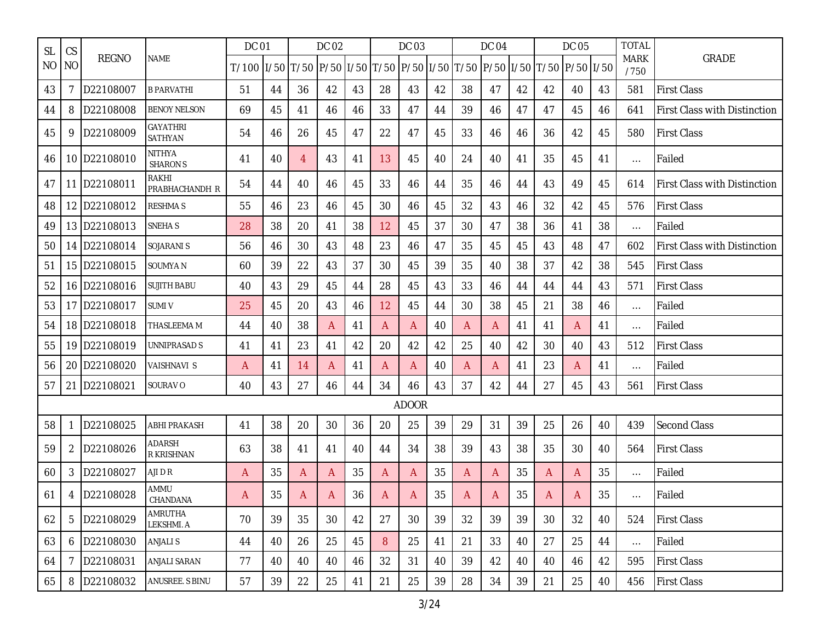| <b>SL</b> | CS             |              |                                  | <b>DC 01</b>                                                                        |    |    | <b>DC 02</b> |    |        | <b>DC 03</b> |    |    | <b>DC 04</b> |    |    | <b>DC 05</b> |    | <b>TOTAL</b>        |                                     |
|-----------|----------------|--------------|----------------------------------|-------------------------------------------------------------------------------------|----|----|--------------|----|--------|--------------|----|----|--------------|----|----|--------------|----|---------------------|-------------------------------------|
| NO        | N <sub>O</sub> | <b>REGNO</b> | <b>NAME</b>                      | T/100  I/50  T/50  P/50  I/50  T/50  P/50  I/50  T/50  P/50  I/50  T/50  P/50  I/50 |    |    |              |    |        |              |    |    |              |    |    |              |    | <b>MARK</b><br>/750 | <b>GRADE</b>                        |
| 43        | 7              | D22108007    | <b>B PARVATHI</b>                | 51                                                                                  | 44 | 36 | 42           | 43 | 28     | 43           | 42 | 38 | 47           | 42 | 42 | 40           | 43 | 581                 | <b>First Class</b>                  |
| 44        | 8              | D22108008    | <b>BENOY NELSON</b>              | 69                                                                                  | 45 | 41 | 46           | 46 | 33     | 47           | 44 | 39 | 46           | 47 | 47 | 45           | 46 | 641                 | <b>First Class with Distinction</b> |
| 45        | 9              | D22108009    | <b>GAYATHRI</b><br>SATHYAN       | 54                                                                                  | 46 | 26 | 45           | 47 | 22     | 47           | 45 | 33 | 46           | 46 | 36 | 42           | 45 | 580                 | <b>First Class</b>                  |
| 46        |                | 10 D22108010 | <b>NITHYA</b><br><b>SHARON S</b> | 41                                                                                  | 40 | 4  | 43           | 41 | 13     | 45           | 40 | 24 | 40           | 41 | 35 | 45           | 41 | $\ldots$            | Failed                              |
| 47        |                | 11 D22108011 | RAKHI<br><b>PRABHACHANDH R</b>   | 54                                                                                  | 44 | 40 | 46           | 45 | 33     | 46           | 44 | 35 | 46           | 44 | 43 | 49           | 45 | 614                 | First Class with Distinction        |
| 48        |                | 12 D22108012 | <b>RESHMA S</b>                  | 55                                                                                  | 46 | 23 | 46           | 45 | 30     | 46           | 45 | 32 | 43           | 46 | 32 | 42           | 45 | 576                 | <b>First Class</b>                  |
| 49        |                | 13 D22108013 | <b>SNEHAS</b>                    | 28                                                                                  | 38 | 20 | 41           | 38 | 12     | 45           | 37 | 30 | 47           | 38 | 36 | 41           | 38 | $\ldots$            | Failed                              |
| 50        |                | 14 D22108014 | SOJARANI S                       | 56                                                                                  | 46 | 30 | 43           | 48 | 23     | 46           | 47 | 35 | 45           | 45 | 43 | 48           | 47 | 602                 | <b>First Class with Distinction</b> |
| 51        |                | 15 D22108015 | SOUMYA N                         | 60                                                                                  | 39 | 22 | 43           | 37 | 30     | 45           | 39 | 35 | 40           | 38 | 37 | 42           | 38 | 545                 | <b>First Class</b>                  |
| 52        |                | 16 D22108016 | <b>SUJITH BABU</b>               | 40                                                                                  | 43 | 29 | 45           | 44 | 28     | 45           | 43 | 33 | 46           | 44 | 44 | 44           | 43 | 571                 | <b>First Class</b>                  |
| 53        |                | 17 D22108017 | <b>SUMIV</b>                     | 25                                                                                  | 45 | 20 | 43           | 46 | 12     | 45           | 44 | 30 | 38           | 45 | 21 | 38           | 46 | $\ldots$            | Failed                              |
| 54        |                | 18 D22108018 | <b>THASLEEMA M</b>               | 44                                                                                  | 40 | 38 | A            | 41 | A      | A            | 40 | A  | A            | 41 | 41 | A            | 41 | $\ldots$            | Failed                              |
| 55        |                | 19 D22108019 | UNNIPRASAD S                     | 41                                                                                  | 41 | 23 | 41           | 42 | 20     | 42           | 42 | 25 | 40           | 42 | 30 | 40           | 43 | 512                 | <b>First Class</b>                  |
| 56        |                | 20 D22108020 | <b>VAISHNAVI S</b>               | A                                                                                   | 41 | 14 | A            | 41 | A      | A            | 40 | A  | A            | 41 | 23 | A            | 41 | $\ldots$            | Failed                              |
| 57        | 21             | D22108021    | SOURAV O                         | 40                                                                                  | 43 | 27 | 46           | 44 | 34     | 46           | 43 | 37 | 42           | 44 | 27 | 45           | 43 | 561                 | <b>First Class</b>                  |
|           |                |              |                                  |                                                                                     |    |    |              |    |        | <b>ADOOR</b> |    |    |              |    |    |              |    |                     |                                     |
| 58        | 1              | D22108025    | <b>ABHI PRAKASH</b>              | 41                                                                                  | 38 | 20 | 30           | 36 | 20     | 25           | 39 | 29 | 31           | 39 | 25 | 26           | 40 | 439                 | <b>Second Class</b>                 |
| 59        | 2              | D22108026    | <b>ADARSH</b><br>R KRISHNAN      | 63                                                                                  | 38 | 41 | 41           | 40 | 44     | 34           | 38 | 39 | 43           | 38 | 35 | 30           | 40 | 564                 | <b>First Class</b>                  |
| 60        | $\mathfrak{Z}$ | D22108027    | AJI D R                          | A                                                                                   | 35 | A  | A            | 35 | A      | A            | 35 | A  | A            | 35 | A  | A            | 35 | $\ldots$            | Failed                              |
| 61        | 4              | D22108028    | AMMU<br>CHANDANA                 | A                                                                                   | 35 | A  | A            | 36 | A      | A            | 35 | A  | A            | 35 | A  | A            | 35 | $\ldots$            | Failed                              |
| 62        | 5              | D22108029    | <b>AMRUTHA</b><br>LEKSHMI. A     | 70                                                                                  | 39 | 35 | 30           | 42 | 27     | 30           | 39 | 32 | 39           | 39 | 30 | 32           | 40 | 524                 | <b>First Class</b>                  |
| 63        | 6              | D22108030    | <b>ANJALIS</b>                   | 44                                                                                  | 40 | 26 | 25           | 45 | $\, 8$ | 25           | 41 | 21 | 33           | 40 | 27 | 25           | 44 | $\cdots$            | Failed                              |
| 64        | 7              | D22108031    | <b>ANJALI SARAN</b>              | 77                                                                                  | 40 | 40 | 40           | 46 | 32     | 31           | 40 | 39 | 42           | 40 | 40 | 46           | 42 | 595                 | <b>First Class</b>                  |
| 65        | 8              | D22108032    | ANUSREE. S BINU                  | 57                                                                                  | 39 | 22 | 25           | 41 | 21     | 25           | 39 | 28 | 34           | 39 | 21 | 25           | 40 | 456                 | <b>First Class</b>                  |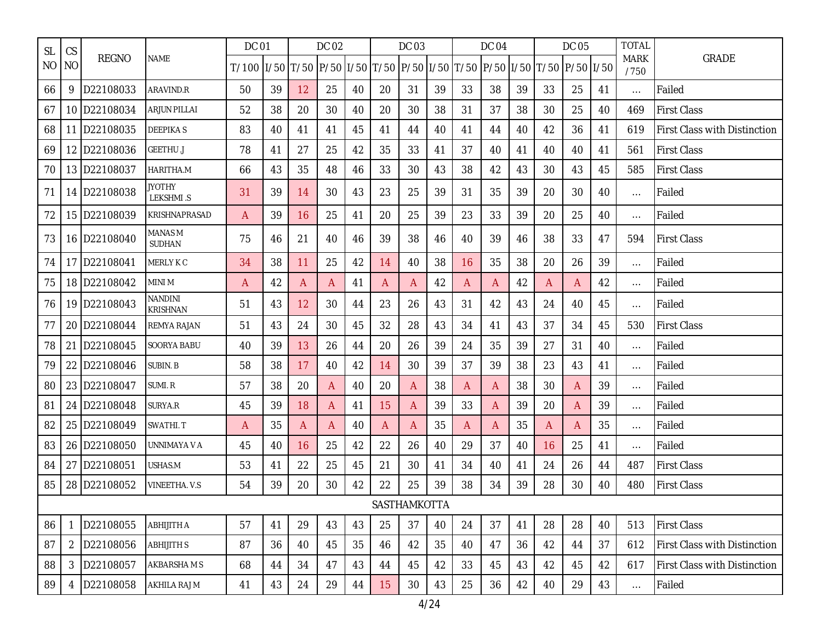| <b>SL</b> | CS             |              |                             | <b>DC 01</b>                                                                        |    |    | <b>DC 02</b> |    |    | DC 03        |    |    | <b>DC 04</b> |    |    | <b>DC 05</b> |    | <b>TOTAL</b>        |                                     |
|-----------|----------------|--------------|-----------------------------|-------------------------------------------------------------------------------------|----|----|--------------|----|----|--------------|----|----|--------------|----|----|--------------|----|---------------------|-------------------------------------|
| NO.       | <b>NO</b>      | <b>REGNO</b> | NAME                        | T/100  I/50  T/50  P/50  I/50  T/50  P/50  I/50  T/50  P/50  I/50  T/50  P/50  I/50 |    |    |              |    |    |              |    |    |              |    |    |              |    | <b>MARK</b><br>/750 | GRADE                               |
| 66        | 9              | D22108033    | ARAVIND.R                   | 50                                                                                  | 39 | 12 | 25           | 40 | 20 | 31           | 39 | 33 | 38           | 39 | 33 | 25           | 41 | $\ldots$            | Failed                              |
| 67        |                | 10 D22108034 | <b>ARJUN PILLAI</b>         | 52                                                                                  | 38 | 20 | 30           | 40 | 20 | 30           | 38 | 31 | 37           | 38 | 30 | 25           | 40 | 469                 | <b>First Class</b>                  |
| 68        |                | 11 D22108035 | <b>DEEPIKAS</b>             | 83                                                                                  | 40 | 41 | 41           | 45 | 41 | 44           | 40 | 41 | 44           | 40 | 42 | 36           | 41 | 619                 | <b>First Class with Distinction</b> |
| 69        |                | 12 D22108036 | <b>GEETHU J</b>             | 78                                                                                  | 41 | 27 | 25           | 42 | 35 | 33           | 41 | 37 | 40           | 41 | 40 | 40           | 41 | 561                 | <b>First Class</b>                  |
| 70        |                | 13 D22108037 | HARITHA.M                   | 66                                                                                  | 43 | 35 | 48           | 46 | 33 | 30           | 43 | 38 | 42           | 43 | 30 | 43           | 45 | 585                 | <b>First Class</b>                  |
| 71        |                | 14 D22108038 | <b>JYOTHY</b><br>LEKSHMI .S | 31                                                                                  | 39 | 14 | 30           | 43 | 23 | 25           | 39 | 31 | 35           | 39 | 20 | 30           | 40 | $\ldots$            | Failed                              |
| 72        |                | 15 D22108039 | KRISHNAPRASAD               | A                                                                                   | 39 | 16 | 25           | 41 | 20 | 25           | 39 | 23 | 33           | 39 | 20 | 25           | 40 | $\ldots$            | Failed                              |
| 73        |                | 16 D22108040 | <b>MANAS M</b><br>SUDHAN    | 75                                                                                  | 46 | 21 | 40           | 46 | 39 | 38           | 46 | 40 | 39           | 46 | 38 | 33           | 47 | 594                 | <b>First Class</b>                  |
| 74        |                | 17 D22108041 | MERLY K C                   | 34                                                                                  | 38 | 11 | 25           | 42 | 14 | 40           | 38 | 16 | 35           | 38 | 20 | 26           | 39 | $\ldots$            | Failed                              |
| 75        |                | 18 D22108042 | MINI M                      | A                                                                                   | 42 | A  | A            | 41 | A  | A            | 42 | A  | A            | 42 | A  | A            | 42 | $\ldots$            | Failed                              |
| 76        |                | 19 D22108043 | NANDINI<br><b>KRISHNAN</b>  | 51                                                                                  | 43 | 12 | 30           | 44 | 23 | 26           | 43 | 31 | 42           | 43 | 24 | 40           | 45 | $\cdots$            | Failed                              |
| 77        |                | 20 D22108044 | REMYA RAJAN                 | 51                                                                                  | 43 | 24 | 30           | 45 | 32 | 28           | 43 | 34 | 41           | 43 | 37 | 34           | 45 | 530                 | <b>First Class</b>                  |
| 78        |                | 21 D22108045 | SOORYA BABU                 | 40                                                                                  | 39 | 13 | 26           | 44 | 20 | 26           | 39 | 24 | 35           | 39 | 27 | 31           | 40 | $\ldots$            | Failed                              |
| 79        |                | 22 D22108046 | SUBIN. B                    | 58                                                                                  | 38 | 17 | 40           | 42 | 14 | 30           | 39 | 37 | 39           | 38 | 23 | 43           | 41 | $\ldots$            | Failed                              |
| 80        |                | 23 D22108047 | SUMI.R                      | 57                                                                                  | 38 | 20 | A            | 40 | 20 | A            | 38 | A  | A            | 38 | 30 | A            | 39 | $\ldots$            | Failed                              |
| 81        |                | 24 D22108048 | SURYA.R                     | 45                                                                                  | 39 | 18 | A            | 41 | 15 | A            | 39 | 33 | A            | 39 | 20 | A            | 39 | $\ldots$            | Failed                              |
| 82        |                | 25 D22108049 | <b>SWATHI.T</b>             | A                                                                                   | 35 | A  | A            | 40 | A  | A            | 35 | A  | A            | 35 | A  | A            | 35 | $\ldots$            | Failed                              |
| 83        |                | 26 D22108050 | UNNIMAYA V A                | 45                                                                                  | 40 | 16 | 25           | 42 | 22 | 26           | 40 | 29 | 37           | 40 | 16 | 25           | 41 | $\ldots$            | Failed                              |
| 84        |                | 27 D22108051 | USHAS.M                     | 53                                                                                  | 41 | 22 | 25           | 45 | 21 | 30           | 41 | 34 | 40           | 41 | 24 | 26           | 44 | 487                 | <b>First Class</b>                  |
| 85        |                | 28 D22108052 | VINEETHA. V.S               | 54                                                                                  | 39 | 20 | 30           | 42 | 22 | 25           | 39 | 38 | 34           | 39 | 28 | 30           | 40 | 480                 | <b>First Class</b>                  |
|           |                |              |                             |                                                                                     |    |    |              |    |    | SASTHAMKOTTA |    |    |              |    |    |              |    |                     |                                     |
| 86        |                | D22108055    | ABHIJITH A                  | 57                                                                                  | 41 | 29 | 43           | 43 | 25 | 37           | 40 | 24 | 37           | 41 | 28 | 28           | 40 | 513                 | <b>First Class</b>                  |
| 87        | $\overline{2}$ | D22108056    | <b>ABHIJITHS</b>            | 87                                                                                  | 36 | 40 | 45           | 35 | 46 | 42           | 35 | 40 | 47           | 36 | 42 | 44           | 37 | 612                 | <b>First Class with Distinction</b> |
| 88        | $\mathfrak{Z}$ | D22108057    | AKBARSHAMS                  | 68                                                                                  | 44 | 34 | 47           | 43 | 44 | 45           | 42 | 33 | 45           | 43 | 42 | 45           | 42 | 617                 | <b>First Class with Distinction</b> |
| 89        | 4              | D22108058    | AKHILA RAJ M                | 41                                                                                  | 43 | 24 | 29           | 44 | 15 | 30           | 43 | 25 | 36           | 42 | 40 | 29           | 43 | $\ldots$            | Failed                              |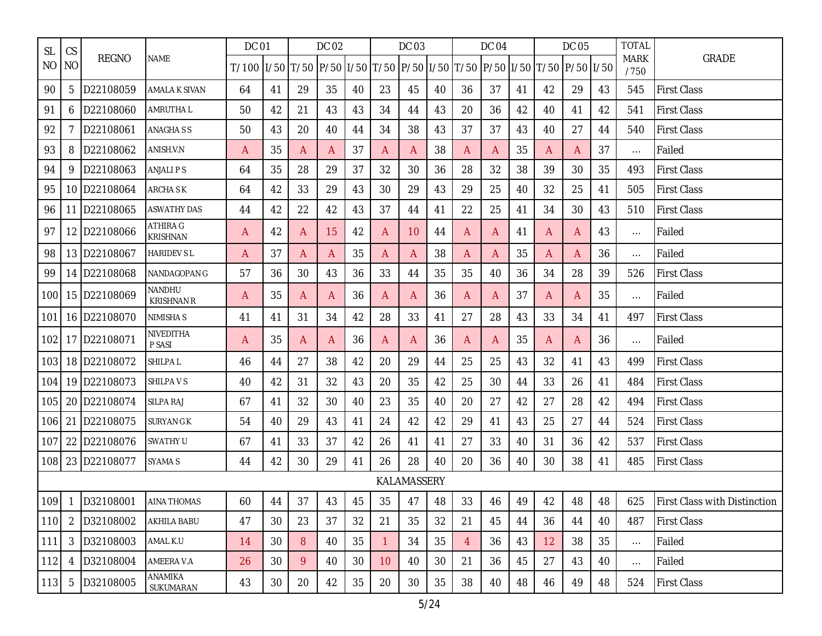| <b>SL</b> | CS        |                 |                             | <b>DC 01</b>                                                                                     |    |    | <b>DC 02</b> |    |    | <b>DC 03</b> |    |                | <b>DC 04</b> |    |    | <b>DC 05</b> |    | <b>TOTAL</b>        |                                    |
|-----------|-----------|-----------------|-----------------------------|--------------------------------------------------------------------------------------------------|----|----|--------------|----|----|--------------|----|----------------|--------------|----|----|--------------|----|---------------------|------------------------------------|
| NO.       | <b>NO</b> | <b>REGNO</b>    | <b>NAME</b>                 | T/100   1/50   T/50   P/50   1/50   T/50   P/50   1/50   T/50   P/50   1/50   T/50   P/50   1/50 |    |    |              |    |    |              |    |                |              |    |    |              |    | <b>MARK</b><br>/750 | <b>GRADE</b>                       |
| 90        | 5         | D22108059       | <b>AMALA K SIVAN</b>        | 64                                                                                               | 41 | 29 | 35           | 40 | 23 | 45           | 40 | 36             | 37           | 41 | 42 | 29           | 43 | 545                 | <b>First Class</b>                 |
| 91        | 6         | D22108060       | <b>AMRUTHAL</b>             | 50                                                                                               | 42 | 21 | 43           | 43 | 34 | 44           | 43 | 20             | 36           | 42 | 40 | 41           | 42 | 541                 | <b>First Class</b>                 |
| 92        | 7         | D22108061       | ANAGHA S S                  | 50                                                                                               | 43 | 20 | 40           | 44 | 34 | 38           | 43 | 37             | 37           | 43 | 40 | 27           | 44 | 540                 | <b>First Class</b>                 |
| 93        | 8         | D22108062       | ANISH.V.N                   | A                                                                                                | 35 | A  | A            | 37 | A  | A            | 38 | A              | A            | 35 | A  | A            | 37 | $\ldots$            | Failed                             |
| 94        | 9         | D22108063       | ANJALI P S                  | 64                                                                                               | 35 | 28 | 29           | 37 | 32 | 30           | 36 | 28             | 32           | 38 | 39 | 30           | 35 | 493                 | <b>First Class</b>                 |
| 95        |           | 10 D22108064    | ARCHA S K                   | 64                                                                                               | 42 | 33 | 29           | 43 | 30 | 29           | 43 | 29             | 25           | 40 | 32 | 25           | 41 | 505                 | <b>First Class</b>                 |
| 96        | 11        | D22108065       | <b>ASWATHY DAS</b>          | 44                                                                                               | 42 | 22 | 42           | 43 | 37 | 44           | 41 | 22             | 25           | 41 | 34 | 30           | 43 | 510                 | <b>First Class</b>                 |
| 97        |           | 12 D22108066    | ATHIRA G<br><b>KRISHNAN</b> | A                                                                                                | 42 | A  | 15           | 42 | A  | 10           | 44 | A              | A            | 41 | A  | A            | 43 | $\ldots$            | Failed                             |
| 98        |           | 13 D22108067    | <b>HARIDEVSL</b>            | A                                                                                                | 37 | A  | A            | 35 | A  | A            | 38 | A              | A            | 35 | A  | A            | 36 | $\ldots$            | Failed                             |
| 99        |           | 14 D22108068    | NANDAGOPAN G                | 57                                                                                               | 36 | 30 | 43           | 36 | 33 | 44           | 35 | 35             | 40           | 36 | 34 | 28           | 39 | 526                 | <b>First Class</b>                 |
| 100       |           | 15 D22108069    | NANDHU<br><b>KRISHNAN R</b> | A                                                                                                | 35 | A  | A            | 36 | A  | A            | 36 | A              | A            | 37 | A  | A            | 35 | $\ldots$            | Failed                             |
| 101       |           | 16 D22108070    | <b>NIMISHAS</b>             | 41                                                                                               | 41 | 31 | 34           | 42 | 28 | 33           | 41 | 27             | 28           | 43 | 33 | 34           | 41 | 497                 | <b>First Class</b>                 |
| 102       |           | 17 D22108071    | NIVEDITHA<br>P SASI         | A                                                                                                | 35 | A  | A            | 36 | A  | A            | 36 | A              | A            | 35 | A  | A            | 36 | $\ldots$            | Failed                             |
| 103       |           | 18 D22108072    | <b>SHILPAL</b>              | 46                                                                                               | 44 | 27 | 38           | 42 | 20 | 29           | 44 | 25             | 25           | 43 | 32 | 41           | 43 | 499                 | <b>First Class</b>                 |
| 104       |           | 19 D22108073    | <b>SHILPAVS</b>             | 40                                                                                               | 42 | 31 | 32           | 43 | 20 | 35           | 42 | 25             | 30           | 44 | 33 | 26           | 41 | 484                 | <b>First Class</b>                 |
| 105       |           | 20 D22108074    | SILPA RAJ                   | 67                                                                                               | 41 | 32 | 30           | 40 | 23 | 35           | 40 | 20             | 27           | 42 | 27 | 28           | 42 | 494                 | <b>First Class</b>                 |
| 106       | 21        | D22108075       | <b>SURYAN G K</b>           | 54                                                                                               | 40 | 29 | 43           | 41 | 24 | 42           | 42 | 29             | 41           | 43 | 25 | 27           | 44 | 524                 | <b>First Class</b>                 |
| 107       |           | 22 D22108076    | <b>SWATHY U</b>             | 67                                                                                               | 41 | 33 | 37           | 42 | 26 | 41           | 41 | 27             | 33           | 40 | 31 | 36           | 42 | 537                 | <b>First Class</b>                 |
| 108       |           | 23 D22108077    | SYAMA S                     | 44                                                                                               | 42 | 30 | 29           | 41 | 26 | 28           | 40 | 20             | 36           | 40 | 30 | 38           | 41 | 485                 | <b>First Class</b>                 |
|           |           |                 |                             |                                                                                                  |    |    |              |    |    | KALAMASSERY  |    |                |              |    |    |              |    |                     |                                    |
|           |           | 109 1 D32108001 | <b>AINA THOMAS</b>          | 60                                                                                               | 44 | 37 | 43           | 45 |    | 35 47 48     |    | 33             | 46           | 49 | 42 | 48           | 48 |                     | 625   First Class with Distinction |
| 110       |           | 2 D32108002     | <b>AKHILA BABU</b>          | 47                                                                                               | 30 | 23 | 37           | 32 | 21 | 35           | 32 | 21             | 45           | 44 | 36 | 44           | 40 | 487                 | <b>First Class</b>                 |
| 111       |           | 3 D32108003     | AMAL K.U                    | 14                                                                                               | 30 | 8  | 40           | 35 |    | 34           | 35 | $\overline{4}$ | 36           | 43 | 12 | 38           | 35 | $\cdots$            | Failed                             |
| 112       |           | 4 D32108004     | AMEERA V.A                  | 26                                                                                               | 30 | 9  | 40           | 30 | 10 | 40           | 30 | 21             | 36           | 45 | 27 | 43           | 40 | $\ldots$            | Failed                             |
|           |           | 113 5 D32108005 | ANAMIKA<br>SUKUMARAN        | 43                                                                                               | 30 | 20 | 42           | 35 | 20 | 30           | 35 | 38             | 40           | 48 | 46 | 49           | 48 | 524                 | <b>First Class</b>                 |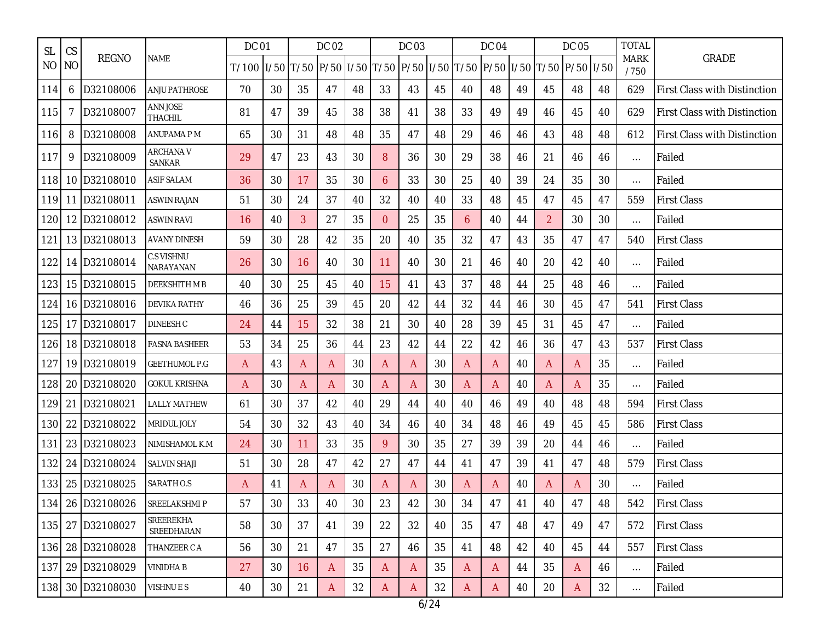| <b>SL</b> | CS        |                  |                            | <b>DC 01</b>                                                                        |        |    | <b>DC 02</b> |        |                | <b>DC 03</b> |    |              | <b>DC 04</b> |    |                | <b>DC 05</b> |    | <b>TOTAL</b>        |                                     |
|-----------|-----------|------------------|----------------------------|-------------------------------------------------------------------------------------|--------|----|--------------|--------|----------------|--------------|----|--------------|--------------|----|----------------|--------------|----|---------------------|-------------------------------------|
| NO        | <b>NO</b> | <b>REGNO</b>     | NAME                       | T/100  I/50  T/50  P/50  I/50  T/50  P/50  I/50  T/50  P/50  I/50  T/50  P/50  I/50 |        |    |              |        |                |              |    |              |              |    |                |              |    | <b>MARK</b><br>/750 | <b>GRADE</b>                        |
| 114       | 6         | D32108006        | <b>ANJU PATHROSE</b>       | 70                                                                                  | 30     | 35 | 47           | 48     | 33             | 43           | 45 | 40           | 48           | 49 | 45             | 48           | 48 | 629                 | <b>First Class with Distinction</b> |
| 115       | 7         | D32108007        | ANN JOSE<br><b>THACHIL</b> | 81                                                                                  | 47     | 39 | 45           | 38     | 38             | 41           | 38 | 33           | 49           | 49 | 46             | 45           | 40 | 629                 | <b>First Class with Distinction</b> |
| 116       | 8         | D32108008        | ANUPAMA P M                | 65                                                                                  | 30     | 31 | 48           | 48     | 35             | 47           | 48 | 29           | 46           | 46 | 43             | 48           | 48 | 612                 | <b>First Class with Distinction</b> |
| 117       | 9         | D32108009        | <b>ARCHANA V</b><br>SANKAR | 29                                                                                  | 47     | 23 | 43           | 30     | 8              | 36           | 30 | 29           | 38           | 46 | 21             | 46           | 46 | $\cdots$            | Failed                              |
| 118       |           | 10 D32108010     | ASIF SALAM                 | 36                                                                                  | 30     | 17 | 35           | 30     | 6              | 33           | 30 | 25           | 40           | 39 | 24             | 35           | 30 | $\ldots$            | Failed                              |
| 119       |           | 11 D32108011     | <b>ASWIN RAJAN</b>         | 51                                                                                  | 30     | 24 | 37           | 40     | 32             | 40           | 40 | 33           | 48           | 45 | 47             | 45           | 47 | 559                 | <b>First Class</b>                  |
| 120       |           | 12 D32108012     | <b>ASWIN RAVI</b>          | 16                                                                                  | 40     | 3  | 27           | 35     | $\overline{0}$ | 25           | 35 | 6            | 40           | 44 | $\overline{2}$ | 30           | 30 | $\cdots$            | Failed                              |
| 121       |           | 13 D32108013     | <b>AVANY DINESH</b>        | 59                                                                                  | 30     | 28 | 42           | 35     | 20             | 40           | 35 | 32           | 47           | 43 | 35             | 47           | 47 | 540                 | <b>First Class</b>                  |
| 122       |           | 14 D32108014     | C.S VISHNU<br>NARAYANAN    | 26                                                                                  | 30     | 16 | 40           | 30     | 11             | 40           | 30 | 21           | 46           | 40 | 20             | 42           | 40 | $\cdots$            | Failed                              |
| 123       |           | 15 D32108015     | <b>DEEKSHITH M B</b>       | 40                                                                                  | 30     | 25 | 45           | 40     | 15             | 41           | 43 | 37           | 48           | 44 | 25             | 48           | 46 | $\ldots$            | Failed                              |
| 124       |           | 16 D32108016     | <b>DEVIKA RATHY</b>        | 46                                                                                  | 36     | 25 | 39           | 45     | 20             | 42           | 44 | 32           | 44           | 46 | 30             | 45           | 47 | 541                 | <b>First Class</b>                  |
| 125       |           | 17 D32108017     | DINEESH C                  | 24                                                                                  | 44     | 15 | 32           | 38     | 21             | 30           | 40 | 28           | 39           | 45 | 31             | 45           | 47 | $\cdots$            | Failed                              |
| 126 l     |           | 18 D32108018     | <b>FASNA BASHEER</b>       | 53                                                                                  | 34     | 25 | 36           | 44     | 23             | 42           | 44 | 22           | 42           | 46 | 36             | 47           | 43 | 537                 | <b>First Class</b>                  |
| 127       |           | 19 D32108019     | <b>GEETHUMOL P.G</b>       | A                                                                                   | 43     | A  | A            | 30     | A              | A            | 30 | A            | A            | 40 | A              | A            | 35 | $\cdots$            | Failed                              |
| 128       |           | 20 D32108020     | <b>GOKUL KRISHNA</b>       | A                                                                                   | 30     | A  | A            | 30     | A              | A            | 30 | A            | A            | 40 | A              | A            | 35 | $\cdots$            | Failed                              |
| 129       | 21        | D32108021        | <b>LALLY MATHEW</b>        | 61                                                                                  | 30     | 37 | 42           | 40     | 29             | 44           | 40 | 40           | 46           | 49 | 40             | 48           | 48 | 594                 | <b>First Class</b>                  |
| 130       |           | 22 D32108022     | <b>MRIDUL JOLY</b>         | 54                                                                                  | 30     | 32 | 43           | 40     | 34             | 46           | 40 | 34           | 48           | 46 | 49             | 45           | 45 | 586                 | <b>First Class</b>                  |
| 131       |           | 23 D32108023     | NIMISHAMOL K.M             | 24                                                                                  | 30     | 11 | 33           | 35     | 9              | 30           | 35 | 27           | 39           | 39 | 20             | 44           | 46 | $\cdots$            | Failed                              |
| 132       |           | 24 D32108024     | <b>SALVIN SHAJI</b>        | 51                                                                                  | 30     | 28 | 47           | 42     | 27             | 47           | 44 | 41           | 47           | 39 | 41             | 47           | 48 | 579                 | <b>First Class</b>                  |
| 133       |           | 25 D32108025     | SARATH O.S                 | A                                                                                   | 41     | A  | A            | 30     | A              | A            | 30 | A            | A            | 40 | A              | A            | 30 | $\cdots$            | Failed                              |
|           |           | 134 26 D32108026 | SREELAKSHMI P              | 57                                                                                  | $30\,$ | 33 | 40           | $30\,$ | 23             | 42           | 30 | 34           | 47           | 41 | 40             | 47           | 48 | 542                 | <b>First Class</b>                  |
|           |           | 135 27 D32108027 | SREEREKHA<br>SREEDHARAN    | 58                                                                                  | 30     | 37 | 41           | 39     | 22             | 32           | 40 | 35           | 47           | 48 | 47             | 49           | 47 | 572                 | <b>First Class</b>                  |
| 136       |           | 28 D32108028     | THANZEER CA                | 56                                                                                  | 30     | 21 | 47           | 35     | 27             | 46           | 35 | 41           | 48           | 42 | 40             | 45           | 44 | 557                 | <b>First Class</b>                  |
| 137       |           | 29 D32108029     | <b>VINIDHA B</b>           | 27                                                                                  | 30     | 16 | A            | 35     | A              | A            | 35 | A            | A            | 44 | 35             | A            | 46 | $\ldots$            | Failed                              |
|           |           | 138 30 D32108030 | VISHNUES                   | 40                                                                                  | 30     | 21 | A            | 32     | A              | A            | 32 | $\mathsf{A}$ | A            | 40 | 20             | A            | 32 | $\ldots$            | Failed                              |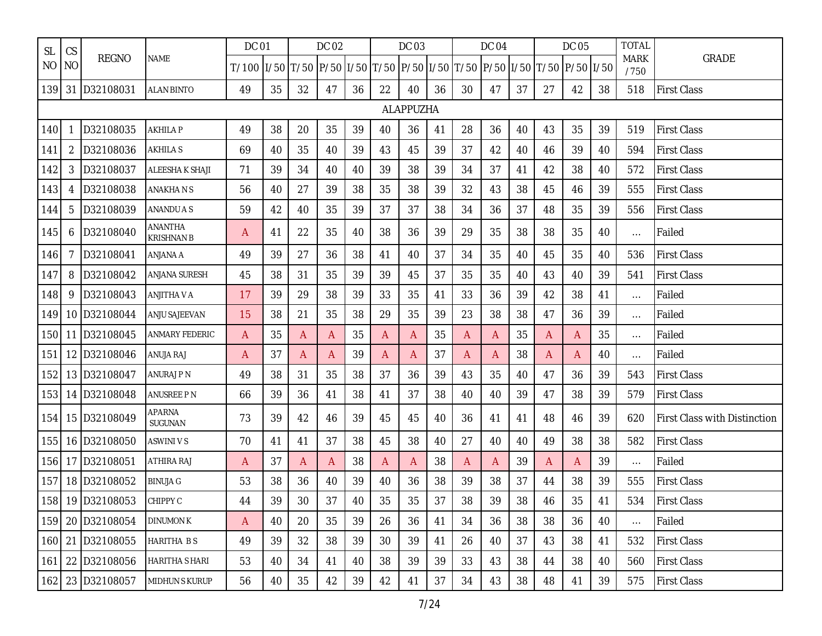| <b>SL</b> | CS             |                  |                              | <b>DC 01</b>                                                                                     |    |    | DC 02          |    |    | <b>DC 03</b> |    |    | <b>DC 04</b> |    |    | <b>DC 05</b> |    | <b>TOTAL</b>        |                                     |
|-----------|----------------|------------------|------------------------------|--------------------------------------------------------------------------------------------------|----|----|----------------|----|----|--------------|----|----|--------------|----|----|--------------|----|---------------------|-------------------------------------|
| NO        | <b>NO</b>      | <b>REGNO</b>     | NAME                         | T/100   1/50   T/50   P/50   1/50   T/50   P/50   1/50   T/50   P/50   1/50   T/50   P/50   1/50 |    |    |                |    |    |              |    |    |              |    |    |              |    | <b>MARK</b><br>/750 | <b>GRADE</b>                        |
| 139       | 31             | D32108031        | <b>ALAN BINTO</b>            | 49                                                                                               | 35 | 32 | 47             | 36 | 22 | 40           | 36 | 30 | 47           | 37 | 27 | 42           | 38 | 518                 | <b>First Class</b>                  |
|           |                |                  |                              |                                                                                                  |    |    |                |    |    | ALAPPUZHA    |    |    |              |    |    |              |    |                     |                                     |
| 140       |                | D32108035        | <b>AKHILA P</b>              | 49                                                                                               | 38 | 20 | 35             | 39 | 40 | 36           | 41 | 28 | 36           | 40 | 43 | 35           | 39 | 519                 | <b>First Class</b>                  |
| 141       | $\overline{2}$ | D32108036        | AKHILA S                     | 69                                                                                               | 40 | 35 | 40             | 39 | 43 | 45           | 39 | 37 | 42           | 40 | 46 | 39           | 40 | 594                 | <b>First Class</b>                  |
| 142       | 3              | D32108037        | ALEESHA K SHAJI              | 71                                                                                               | 39 | 34 | 40             | 40 | 39 | 38           | 39 | 34 | 37           | 41 | 42 | 38           | 40 | 572                 | <b>First Class</b>                  |
| 143       | 4              | D32108038        | ANAKHA N S                   | 56                                                                                               | 40 | 27 | 39             | 38 | 35 | 38           | 39 | 32 | 43           | 38 | 45 | 46           | 39 | 555                 | <b>First Class</b>                  |
| 144       | 5              | D32108039        | ANANDU A S                   | 59                                                                                               | 42 | 40 | 35             | 39 | 37 | 37           | 38 | 34 | 36           | 37 | 48 | 35           | 39 | 556                 | <b>First Class</b>                  |
| 145       | 6              | D32108040        | ANANTHA<br><b>KRISHNAN B</b> | A                                                                                                | 41 | 22 | 35             | 40 | 38 | 36           | 39 | 29 | 35           | 38 | 38 | 35           | 40 | $\ldots$            | Failed                              |
| 146       | 7              | D32108041        | ANJANA A                     | 49                                                                                               | 39 | 27 | 36             | 38 | 41 | 40           | 37 | 34 | 35           | 40 | 45 | 35           | 40 | 536                 | <b>First Class</b>                  |
| 147       | 8              | D32108042        | <b>ANJANA SURESH</b>         | 45                                                                                               | 38 | 31 | 35             | 39 | 39 | 45           | 37 | 35 | 35           | 40 | 43 | 40           | 39 | 541                 | <b>First Class</b>                  |
| 148       | 9              | D32108043        | ANJITHA V A                  | 17                                                                                               | 39 | 29 | 38             | 39 | 33 | 35           | 41 | 33 | 36           | 39 | 42 | 38           | 41 | $\ldots$            | Failed                              |
| 149       |                | 10 D32108044     | <b>ANJU SAJEEVAN</b>         | 15                                                                                               | 38 | 21 | 35             | 38 | 29 | 35           | 39 | 23 | 38           | 38 | 47 | 36           | 39 | $\ldots$            | Failed                              |
| 150       | 11             | D32108045        | <b>ANMARY FEDERIC</b>        | A                                                                                                | 35 | A  | A              | 35 | A  | A            | 35 | A  | A            | 35 | A  | A            | 35 | $\ldots$            | Failed                              |
| 151       |                | 12 D32108046     | ANUJA RAJ                    | A                                                                                                | 37 | A  | $\overline{A}$ | 39 | A  | A            | 37 | A  | A            | 38 | A  | $\mathsf{A}$ | 40 | $\ldots$            | Failed                              |
| 152       |                | 13 D32108047     | ANURAJ P N                   | 49                                                                                               | 38 | 31 | 35             | 38 | 37 | 36           | 39 | 43 | 35           | 40 | 47 | 36           | 39 | 543                 | <b>First Class</b>                  |
| 153       |                | 14 D32108048     | <b>ANUSREE P N</b>           | 66                                                                                               | 39 | 36 | 41             | 38 | 41 | 37           | 38 | 40 | 40           | 39 | 47 | 38           | 39 | 579                 | <b>First Class</b>                  |
| 154       |                | 15 D32108049     | APARNA<br>SUGUNAN            | 73                                                                                               | 39 | 42 | 46             | 39 | 45 | 45           | 40 | 36 | 41           | 41 | 48 | 46           | 39 | 620                 | <b>First Class with Distinction</b> |
| 155       |                | 16 D32108050     | ASWINI V S                   | 70                                                                                               | 41 | 41 | 37             | 38 | 45 | 38           | 40 | 27 | 40           | 40 | 49 | 38           | 38 | 582                 | <b>First Class</b>                  |
| 156       |                | 17 D32108051     | ATHIRA RAJ                   | A                                                                                                | 37 | A  | A              | 38 | A  | A            | 38 | A  | A            | 39 | A  | A            | 39 | $\ldots$            | Failed                              |
| 157       |                | 18 D32108052     | <b>BINUJA G</b>              | 53                                                                                               | 38 | 36 | 40             | 39 | 40 | 36           | 38 | 39 | 38           | 37 | 44 | 38           | 39 | 555                 | <b>First Class</b>                  |
|           |                | 158 19 D32108053 | CHIPPY C                     | 44                                                                                               | 39 | 30 | 37             | 40 | 35 | 35           | 37 | 38 | 39           | 38 | 46 | 35           | 41 | 534                 | <b>First Class</b>                  |
|           |                | 159 20 D32108054 | <b>DINUMON K</b>             | $\mathsf{A}$                                                                                     | 40 | 20 | 35             | 39 | 26 | 36           | 41 | 34 | 36           | 38 | 38 | 36           | 40 | $\ldots$            | Failed                              |
|           |                | 160 21 D32108055 | HARITHA BS                   | 49                                                                                               | 39 | 32 | 38             | 39 | 30 | 39           | 41 | 26 | 40           | 37 | 43 | 38           | 41 | 532                 | <b>First Class</b>                  |
|           |                | 161 22 D32108056 | <b>HARITHA S HARI</b>        | 53                                                                                               | 40 | 34 | 41             | 40 | 38 | 39           | 39 | 33 | 43           | 38 | 44 | 38           | 40 | 560                 | <b>First Class</b>                  |
|           |                | 162 23 D32108057 | MIDHUN S KURUP               | 56                                                                                               | 40 | 35 | 42             | 39 | 42 | 41           | 37 | 34 | 43           | 38 | 48 | 41           | 39 | 575                 | <b>First Class</b>                  |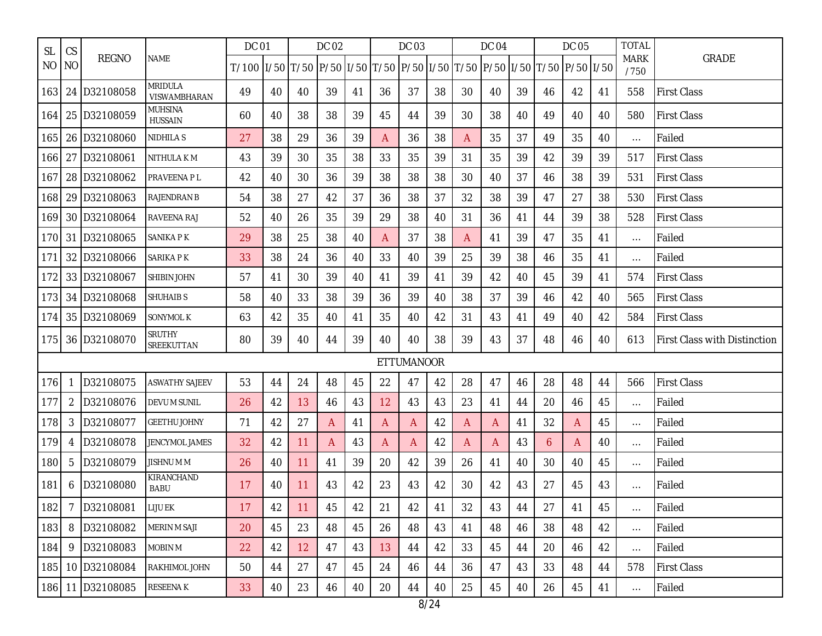| <b>SL</b> | CS             |                  |                                  | <b>DC 01</b>                                                                                     |    |    | <b>DC 02</b> |    |    | <b>DC 03</b>      |    |    | <b>DC 04</b> |    |    | <b>DC 05</b> |    | <b>TOTAL</b>        |                                     |
|-----------|----------------|------------------|----------------------------------|--------------------------------------------------------------------------------------------------|----|----|--------------|----|----|-------------------|----|----|--------------|----|----|--------------|----|---------------------|-------------------------------------|
| NO.       | <b>NO</b>      | <b>REGNO</b>     | NAME                             | T/100   1/50   T/50   P/50   1/50   T/50   P/50   1/50   T/50   P/50   1/50   T/50   P/50   1/50 |    |    |              |    |    |                   |    |    |              |    |    |              |    | <b>MARK</b><br>/750 | GRADE                               |
| 163       | 24             | D32108058        | MRIDULA<br>VISWAMBHARAN          | 49                                                                                               | 40 | 40 | 39           | 41 | 36 | 37                | 38 | 30 | 40           | 39 | 46 | 42           | 41 | 558                 | <b>First Class</b>                  |
| 164       |                | 25 D32108059     | <b>MUHSINA</b><br><b>HUSSAIN</b> | 60                                                                                               | 40 | 38 | 38           | 39 | 45 | 44                | 39 | 30 | 38           | 40 | 49 | 40           | 40 | 580                 | <b>First Class</b>                  |
| 165       |                | 26 D32108060     | <b>NIDHILAS</b>                  | 27                                                                                               | 38 | 29 | 36           | 39 | A  | 36                | 38 | A  | 35           | 37 | 49 | 35           | 40 | $\cdots$            | Failed                              |
| 166       | 27             | D32108061        | <b>NITHULA KM</b>                | 43                                                                                               | 39 | 30 | 35           | 38 | 33 | 35                | 39 | 31 | 35           | 39 | 42 | 39           | 39 | 517                 | <b>First Class</b>                  |
| 167       |                | 28 D32108062     | PRAVEENA P L                     | 42                                                                                               | 40 | 30 | 36           | 39 | 38 | 38                | 38 | 30 | 40           | 37 | 46 | 38           | 39 | 531                 | <b>First Class</b>                  |
| 168       |                | 29 D32108063     | RAJENDRAN B                      | 54                                                                                               | 38 | 27 | 42           | 37 | 36 | 38                | 37 | 32 | 38           | 39 | 47 | 27           | 38 | 530                 | <b>First Class</b>                  |
| 169       |                | 30 D32108064     | RAVEENA RAJ                      | 52                                                                                               | 40 | 26 | 35           | 39 | 29 | 38                | 40 | 31 | 36           | 41 | 44 | 39           | 38 | 528                 | <b>First Class</b>                  |
| 170       | 31             | D32108065        | SANIKA P K                       | 29                                                                                               | 38 | 25 | 38           | 40 | A  | 37                | 38 | A  | 41           | 39 | 47 | 35           | 41 | $\cdots$            | Failed                              |
| 171       | 32             | D32108066        | SARIKA PK                        | 33                                                                                               | 38 | 24 | 36           | 40 | 33 | 40                | 39 | 25 | 39           | 38 | 46 | 35           | 41 | $\ldots$            | Failed                              |
| 172       |                | 33 D32108067     | <b>SHIBIN JOHN</b>               | 57                                                                                               | 41 | 30 | 39           | 40 | 41 | 39                | 41 | 39 | 42           | 40 | 45 | 39           | 41 | 574                 | <b>First Class</b>                  |
| 173       |                | 34 D32108068     | <b>SHUHAIB S</b>                 | 58                                                                                               | 40 | 33 | 38           | 39 | 36 | 39                | 40 | 38 | 37           | 39 | 46 | 42           | 40 | 565                 | <b>First Class</b>                  |
| 174       |                | 35 D32108069     | SONYMOL K                        | 63                                                                                               | 42 | 35 | 40           | 41 | 35 | 40                | 42 | 31 | 43           | 41 | 49 | 40           | 42 | 584                 | <b>First Class</b>                  |
| 175       |                | 36 D32108070     | <b>SRUTHY</b><br>SREEKUTTAN      | 80                                                                                               | 39 | 40 | 44           | 39 | 40 | 40                | 38 | 39 | 43           | 37 | 48 | 46           | 40 | 613                 | <b>First Class with Distinction</b> |
|           |                |                  |                                  |                                                                                                  |    |    |              |    |    | <b>ETTUMANOOR</b> |    |    |              |    |    |              |    |                     |                                     |
| 176       | -1             | D32108075        | <b>ASWATHY SAJEEV</b>            | 53                                                                                               | 44 | 24 | 48           | 45 | 22 | 47                | 42 | 28 | 47           | 46 | 28 | 48           | 44 | 566                 | <b>First Class</b>                  |
| 177       | $\overline{2}$ | D32108076        | <b>DEVUM SUNIL</b>               | 26                                                                                               | 42 | 13 | 46           | 43 | 12 | 43                | 43 | 23 | 41           | 44 | 20 | 46           | 45 | $\ldots$            | Failed                              |
| 178       | 3              | D32108077        | <b>GEETHU JOHNY</b>              | 71                                                                                               | 42 | 27 | A            | 41 | A  | A                 | 42 | A  | Α            | 41 | 32 | A            | 45 | $\ldots$            | Failed                              |
| 179       | 4              | D32108078        | <b>JENCYMOL JAMES</b>            | 32                                                                                               | 42 | 11 | A            | 43 | A  | A                 | 42 | A  | A            | 43 | 6  | A            | 40 | $\ldots$            | Failed                              |
| 180       | 5              | D32108079        | JISHNU M M                       | 26                                                                                               | 40 | 11 | 41           | 39 | 20 | 42                | 39 | 26 | 41           | 40 | 30 | 40           | 45 | $\ldots$            | Failed                              |
| 181       | 6              | D32108080        | KIRANCHAND<br><b>BABU</b>        | 17                                                                                               | 40 | 11 | 43           | 42 | 23 | 43                | 42 | 30 | 42           | 43 | 27 | 45           | 43 | $\cdots$            | Failed                              |
|           |                | 182 7 D32108081  | <b>LIJU EK</b>                   | 17                                                                                               | 42 | 11 | 45           | 42 | 21 | 42                | 41 | 32 | 43           | 44 | 27 | 41           | 45 | $\cdots$            | Failed                              |
| 183       |                | 8 D32108082      | <b>MERIN M SAJI</b>              | 20                                                                                               | 45 | 23 | 48           | 45 | 26 | 48                | 43 | 41 | 48           | 46 | 38 | 48           | 42 | $\cdots$            | Failed                              |
| 184       |                | 9 D32108083      | MOBIN M                          | 22                                                                                               | 42 | 12 | 47           | 43 | 13 | 44                | 42 | 33 | 45           | 44 | 20 | 46           | 42 | $\cdots$            | Failed                              |
| 185       |                | 10 D32108084     | RAKHIMOL JOHN                    | 50                                                                                               | 44 | 27 | 47           | 45 | 24 | 46                | 44 | 36 | 47           | 43 | 33 | 48           | 44 | 578                 | <b>First Class</b>                  |
|           |                | 186 11 D32108085 | RESEENA K                        | 33                                                                                               | 40 | 23 | 46           | 40 | 20 | 44                | 40 | 25 | 45           | 40 | 26 | 45           | 41 | $\ldots$            | Failed                              |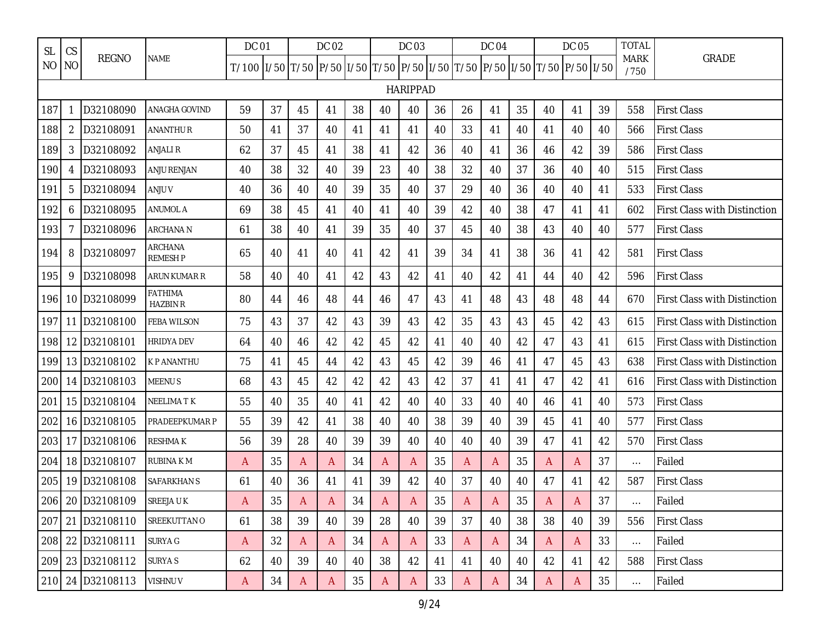| <b>SL</b> | CS             |                  |                                   | <b>DC 01</b> |        |              | <b>DC 02</b> |    |              | <b>DC 03</b>    |    |              | <b>DC 04</b> |    |                                                                                          | <b>DC 05</b> |    | <b>TOTAL</b>        |                                     |
|-----------|----------------|------------------|-----------------------------------|--------------|--------|--------------|--------------|----|--------------|-----------------|----|--------------|--------------|----|------------------------------------------------------------------------------------------|--------------|----|---------------------|-------------------------------------|
| NO        | <b>NO</b>      | <b>REGNO</b>     | <b>NAME</b>                       | T/100        |        |              |              |    |              |                 |    |              |              |    | 1/50   T/50   P/50   1/50   T/50   P/50   1/50   T/50   P/50   1/50   T/50   P/50   1/50 |              |    | <b>MARK</b><br>/750 | GRADE                               |
|           |                |                  |                                   |              |        |              |              |    |              | <b>HARIPPAD</b> |    |              |              |    |                                                                                          |              |    |                     |                                     |
| 187       | 1              | D32108090        | <b>ANAGHA GOVIND</b>              | 59           | 37     | 45           | 41           | 38 | 40           | 40              | 36 | 26           | 41           | 35 | 40                                                                                       | 41           | 39 | 558                 | <b>First Class</b>                  |
| 188       | $\overline{2}$ | D32108091        | <b>ANANTHUR</b>                   | 50           | 41     | 37           | 40           | 41 | 41           | 41              | 40 | 33           | 41           | 40 | 41                                                                                       | 40           | 40 | 566                 | <b>First Class</b>                  |
| 189       | 3              | D32108092        | <b>ANJALI R</b>                   | 62           | 37     | 45           | 41           | 38 | 41           | 42              | 36 | 40           | 41           | 36 | 46                                                                                       | 42           | 39 | 586                 | <b>First Class</b>                  |
| 190       | $\overline{A}$ | D32108093        | <b>ANJU RENJAN</b>                | 40           | 38     | 32           | 40           | 39 | 23           | 40              | 38 | 32           | 40           | 37 | 36                                                                                       | 40           | 40 | 515                 | <b>First Class</b>                  |
| 191       | 5              | D32108094        | ANJU V                            | 40           | 36     | 40           | 40           | 39 | 35           | 40              | 37 | 29           | 40           | 36 | 40                                                                                       | 40           | 41 | 533                 | <b>First Class</b>                  |
| 192       | 6              | D32108095        | <b>ANUMOL A</b>                   | 69           | 38     | 45           | 41           | 40 | 41           | 40              | 39 | 42           | 40           | 38 | 47                                                                                       | 41           | 41 | 602                 | <b>First Class with Distinction</b> |
| 193       | 7              | D32108096        | <b>ARCHANA N</b>                  | 61           | 38     | 40           | 41           | 39 | 35           | 40              | 37 | 45           | 40           | 38 | 43                                                                                       | 40           | 40 | 577                 | <b>First Class</b>                  |
| 194       | 8              | D32108097        | ARCHANA<br><b>REMESHP</b>         | 65           | 40     | 41           | 40           | 41 | 42           | -41             | 39 | 34           | 41           | 38 | 36                                                                                       | 41           | 42 | 581                 | <b>First Class</b>                  |
| 195       | 9              | D32108098        | ARUN KUMAR R                      | 58           | 40     | 40           | 41           | 42 | 43           | 42              | 41 | 40           | 42           | 41 | 44                                                                                       | 40           | 42 | 596                 | <b>First Class</b>                  |
| 196       |                | 10 D32108099     | <b>FATHIMA</b><br><b>HAZBIN R</b> | 80           | 44     | 46           | 48           | 44 | 46           | 47              | 43 | 41           | 48           | 43 | 48                                                                                       | 48           | 44 | 670                 | <b>First Class with Distinction</b> |
| 197       | 11             | D32108100        | <b>FEBA WILSON</b>                | 75           | 43     | 37           | 42           | 43 | 39           | 43              | 42 | 35           | 43           | 43 | 45                                                                                       | 42           | 43 | 615                 | <b>First Class with Distinction</b> |
| 198       |                | 12 D32108101     | <b>HRIDYA DEV</b>                 | 64           | 40     | 46           | 42           | 42 | 45           | 42              | 41 | 40           | 40           | 42 | 47                                                                                       | 43           | 41 | 615                 | <b>First Class with Distinction</b> |
| 199       |                | 13 D32108102     | <b>K P ANANTHU</b>                | 75           | 41     | 45           | 44           | 42 | 43           | 45              | 42 | 39           | 46           | 41 | 47                                                                                       | 45           | 43 | 638                 | <b>First Class with Distinction</b> |
| 200       |                | 14 D32108103     | <b>MEENUS</b>                     | 68           | 43     | 45           | 42           | 42 | 42           | 43              | 42 | 37           | 41           | 41 | 47                                                                                       | 42           | 41 | 616                 | First Class with Distinction        |
| 201       |                | 15 D32108104     | <b>NEELIMATK</b>                  | 55           | 40     | 35           | 40           | 41 | 42           | 40              | 40 | 33           | 40           | 40 | 46                                                                                       | 41           | 40 | 573                 | <b>First Class</b>                  |
| 202       |                | 16 D32108105     | PRADEEPKUMAR P                    | 55           | 39     | 42           | 41           | 38 | 40           | 40              | 38 | 39           | 40           | 39 | 45                                                                                       | 41           | 40 | 577                 | <b>First Class</b>                  |
| 203       | 17             | D32108106        | <b>RESHMAK</b>                    | 56           | 39     | 28           | 40           | 39 | 39           | 40              | 40 | 40           | 40           | 39 | 47                                                                                       | 41           | 42 | 570                 | <b>First Class</b>                  |
| 204       |                | 18 D32108107     | RUBINA K M                        | A            | 35     | A            | A            | 34 | A            | A               | 35 | A            | A            | 35 | Α                                                                                        | A            | 37 | $\ldots$            | Failed                              |
| 205       |                | 19 D32108108     | <b>SAFARKHANS</b>                 | 61           | 40     | 36           | 41           | 41 | 39           | 42              | 40 | 37           | 40           | 40 | 47                                                                                       | 41           | 42 | 587                 | <b>First Class</b>                  |
|           |                | 206 20 D32108109 | <b>SREEJAUK</b>                   | $\mathsf{A}$ | $35\,$ | $\mathsf{A}$ | $\mathsf{A}$ | 34 | $\mathsf{A}$ | $\mathsf{A}$    | 35 | $\mathsf{A}$ | $\mathsf{A}$ | 35 | $\mathsf{A}$                                                                             | $\mathsf{A}$ | 37 | $\cdots$            | Failed                              |
|           |                | 207 21 D32108110 | SREEKUTTAN O                      | 61           | 38     | 39           | 40           | 39 | 28           | 40              | 39 | 37           | 40           | 38 | 38                                                                                       | 40           | 39 | 556                 | <b>First Class</b>                  |
|           |                | 208 22 D32108111 | SURYA G                           | $\mathsf{A}$ | 32     | $\mathsf{A}$ | $\mathsf{A}$ | 34 | $\mathsf{A}$ | $\mathsf{A}$    | 33 | $\mathsf{A}$ | $\mathsf{A}$ | 34 | A                                                                                        | $\mathsf{A}$ | 33 | $\cdots$            | Failed                              |
|           |                | 209 23 D32108112 | SURYA S                           | 62           | 40     | 39           | 40           | 40 | 38           | 42              | 41 | 41           | 40           | 40 | 42                                                                                       | 41           | 42 | 588                 | <b>First Class</b>                  |
|           |                | 210 24 D32108113 | <b>VISHNUV</b>                    | $\mathsf{A}$ | 34     | $\mathsf{A}$ | $\mathsf{A}$ | 35 | $\mathsf{A}$ | $\mathsf{A}$    | 33 | A            | $\mathsf{A}$ | 34 | A                                                                                        | $\mathsf{A}$ | 35 | $\ldots$            | Failed                              |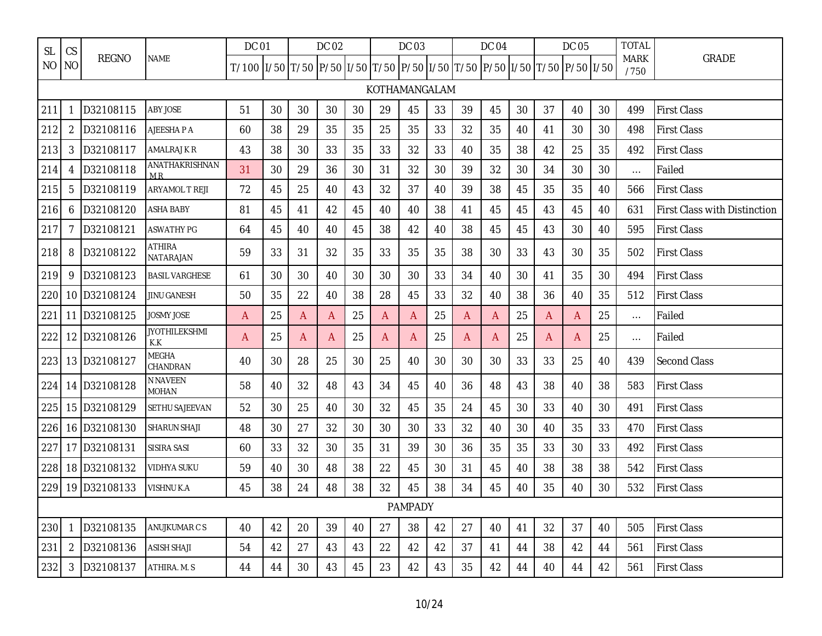| <b>SL</b> | CS             |              |                             | <b>DC 01</b>                                                                                     |    |    | <b>DC 02</b>   |    |               | <b>DC 03</b> |    |    | <b>DC 04</b> |    |    | <b>DC 05</b> |    | <b>TOTAL</b>        |                              |
|-----------|----------------|--------------|-----------------------------|--------------------------------------------------------------------------------------------------|----|----|----------------|----|---------------|--------------|----|----|--------------|----|----|--------------|----|---------------------|------------------------------|
| NO NO     |                | <b>REGNO</b> | <b>NAME</b>                 | T/100   1/50   T/50   P/50   1/50   T/50   P/50   1/50   T/50   P/50   1/50   T/50   P/50   1/50 |    |    |                |    |               |              |    |    |              |    |    |              |    | <b>MARK</b><br>/750 | GRADE                        |
|           |                |              |                             |                                                                                                  |    |    |                |    | KOTHAMANGALAM |              |    |    |              |    |    |              |    |                     |                              |
| 211       | $\mathbf{1}$   | D32108115    | <b>ABY JOSE</b>             | 51                                                                                               | 30 | 30 | 30             | 30 | 29            | 45           | 33 | 39 | 45           | 30 | 37 | 40           | 30 | 499                 | <b>First Class</b>           |
| 212       | $\overline{2}$ | D32108116    | AJEESHA P A                 | 60                                                                                               | 38 | 29 | 35             | 35 | 25            | 35           | 33 | 32 | 35           | 40 | 41 | 30           | 30 | 498                 | <b>First Class</b>           |
| 213       | 3              | D32108117    | <b>AMALRAJKR</b>            | 43                                                                                               | 38 | 30 | 33             | 35 | 33            | 32           | 33 | 40 | 35           | 38 | 42 | 25           | 35 | 492                 | <b>First Class</b>           |
| 214       | 4              | D32108118    | ANATHAKRISHNAN<br>M R       | 31                                                                                               | 30 | 29 | 36             | 30 | 31            | 32           | 30 | 39 | 32           | 30 | 34 | 30           | 30 | $\cdots$            | Failed                       |
| 215       | 5              | D32108119    | <b>ARYAMOL T REJI</b>       | 72                                                                                               | 45 | 25 | 40             | 43 | 32            | 37           | 40 | 39 | 38           | 45 | 35 | 35           | 40 | 566                 | <b>First Class</b>           |
| 216       | 6              | D32108120    | <b>ASHA BABY</b>            | 81                                                                                               | 45 | 41 | 42             | 45 | 40            | 40           | 38 | 41 | 45           | 45 | 43 | 45           | 40 | 631                 | First Class with Distinction |
| 217       | $\overline{7}$ | D32108121    | <b>ASWATHY PG</b>           | 64                                                                                               | 45 | 40 | 40             | 45 | 38            | 42           | 40 | 38 | 45           | 45 | 43 | 30           | 40 | 595                 | <b>First Class</b>           |
| 218       | 8              | D32108122    | ATHIRA<br>NATARAJAN         | 59                                                                                               | 33 | 31 | 32             | 35 | 33            | 35           | 35 | 38 | 30           | 33 | 43 | 30           | 35 | 502                 | <b>First Class</b>           |
| 219       | 9              | D32108123    | <b>BASIL VARGHESE</b>       | 61                                                                                               | 30 | 30 | 40             | 30 | 30            | 30           | 33 | 34 | 40           | 30 | 41 | 35           | 30 | 494                 | <b>First Class</b>           |
| 220       |                | 10 D32108124 | <b>JINU GANESH</b>          | 50                                                                                               | 35 | 22 | 40             | 38 | 28            | 45           | 33 | 32 | 40           | 38 | 36 | 40           | 35 | 512                 | <b>First Class</b>           |
| 221       |                | 11 D32108125 | JOSMY JOSE                  | A                                                                                                | 25 | A  | $\overline{A}$ | 25 | A             | A            | 25 | A  | A            | 25 | A  | A            | 25 | $\ldots$            | Failed                       |
| 222       |                | 12 D32108126 | <b>JYOTHILEKSHMI</b><br>K.K | A                                                                                                | 25 | A  | A              | 25 | A             | A            | 25 | A  | A            | 25 | A  | A            | 25 | $\ldots$            | Failed                       |
| 223       |                | 13 D32108127 | MEGHA<br>CHANDRAN           | 40                                                                                               | 30 | 28 | 25             | 30 | 25            | 40           | 30 | 30 | 30           | 33 | 33 | 25           | 40 | 439                 | <b>Second Class</b>          |
| 224       |                | 14 D32108128 | N NAVEEN<br>MOHAN           | 58                                                                                               | 40 | 32 | 48             | 43 | 34            | 45           | 40 | 36 | 48           | 43 | 38 | 40           | 38 | 583                 | <b>First Class</b>           |
| 225       |                | 15 D32108129 | SETHU SAJEEVAN              | 52                                                                                               | 30 | 25 | 40             | 30 | 32            | 45           | 35 | 24 | 45           | 30 | 33 | 40           | 30 | 491                 | <b>First Class</b>           |
| 226       |                | 16 D32108130 | <b>SHARUN SHAJI</b>         | 48                                                                                               | 30 | 27 | 32             | 30 | 30            | 30           | 33 | 32 | 40           | 30 | 40 | 35           | 33 | 470                 | <b>First Class</b>           |
| 227       |                | 17 D32108131 | SISIRA SASI                 | 60                                                                                               | 33 | 32 | 30             | 35 | 31            | 39           | 30 | 36 | 35           | 35 | 33 | 30           | 33 | 492                 | <b>First Class</b>           |
| 228       |                | 18 D32108132 | <b>VIDHYA SUKU</b>          | 59                                                                                               | 40 | 30 | 48             | 38 | 22            | 45           | 30 | 31 | 45           | 40 | 38 | 38           | 38 | 542                 | <b>First Class</b>           |
| 229       |                | 19 D32108133 | VISHNU K.A                  | 45                                                                                               | 38 | 24 | 48             | 38 | 32            | 45           | 38 | 34 | 45           | 40 | 35 | 40           | 30 | 532                 | <b>First Class</b>           |
|           |                |              |                             |                                                                                                  |    |    |                |    |               | PAMPADY      |    |    |              |    |    |              |    |                     |                              |
| 230       | $\mathbf 1$    | D32108135    | ANUJKUMAR C S               | 40                                                                                               | 42 | 20 | 39             | 40 | 27            | 38           | 42 | 27 | 40           | 41 | 32 | 37           | 40 | 505                 | <b>First Class</b>           |
| 231       | $\overline{2}$ | D32108136    | <b>ASISH SHAJI</b>          | 54                                                                                               | 42 | 27 | 43             | 43 | 22            | 42           | 42 | 37 | 41           | 44 | 38 | 42           | 44 | 561                 | <b>First Class</b>           |
| 232       | 3              | D32108137    | ATHIRA. M. S                | 44                                                                                               | 44 | 30 | 43             | 45 | 23            | 42           | 43 | 35 | 42           | 44 | 40 | 44           | 42 | 561                 | <b>First Class</b>           |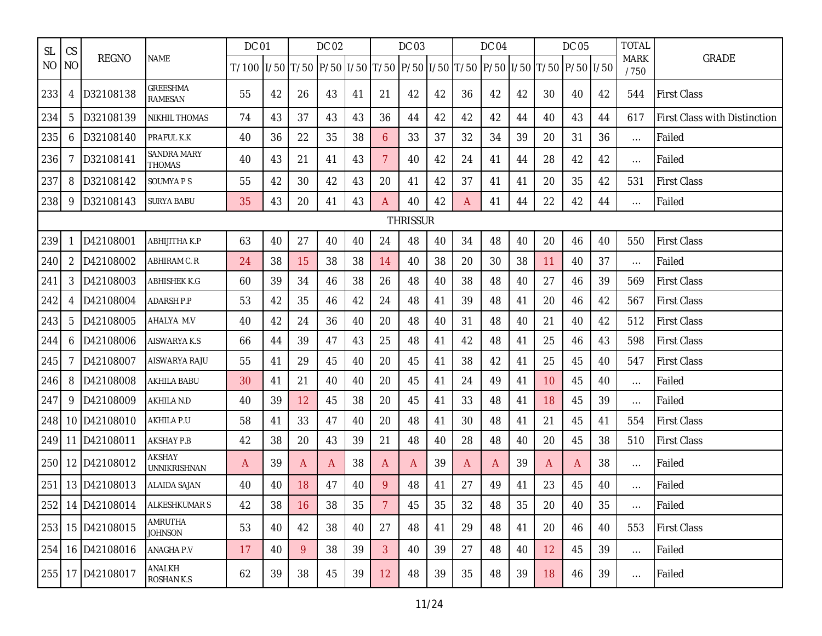| <b>SL</b> | CS             |                  |                                      | <b>DC 01</b>                                                                                     |    |    | <b>DC 02</b> |    |                | DC 03           |    |    | <b>DC 04</b> |    |    | <b>DC 05</b> |    | <b>TOTAL</b>        |                                     |
|-----------|----------------|------------------|--------------------------------------|--------------------------------------------------------------------------------------------------|----|----|--------------|----|----------------|-----------------|----|----|--------------|----|----|--------------|----|---------------------|-------------------------------------|
| <b>NO</b> | <b>NO</b>      | <b>REGNO</b>     | <b>NAME</b>                          | T/100   1/50   T/50   P/50   1/50   T/50   P/50   1/50   T/50   P/50   1/50   T/50   P/50   1/50 |    |    |              |    |                |                 |    |    |              |    |    |              |    | <b>MARK</b><br>/750 | <b>GRADE</b>                        |
| 233       | 4              | D32108138        | <b>GREESHMA</b><br>RAMESAN           | 55                                                                                               | 42 | 26 | 43           | 41 | 21             | 42              | 42 | 36 | 42           | 42 | 30 | 40           | 42 | 544                 | <b>First Class</b>                  |
| 234       | 5              | D32108139        | <b>NIKHIL THOMAS</b>                 | 74                                                                                               | 43 | 37 | 43           | 43 | 36             | 44              | 42 | 42 | 42           | 44 | 40 | 43           | 44 | 617                 | <b>First Class with Distinction</b> |
| 235       | 6              | D32108140        | PRAFUL K.K                           | 40                                                                                               | 36 | 22 | 35           | 38 | 6              | 33              | 37 | 32 | 34           | 39 | 20 | 31           | 36 | $\ldots$            | Failed                              |
| 236       | 7              | D32108141        | SANDRA MARY<br><b>THOMAS</b>         | 40                                                                                               | 43 | 21 | 41           | 43 | $\overline{7}$ | 40              | 42 | 24 | 41           | 44 | 28 | 42           | 42 | $\ldots$            | Failed                              |
| 237       | 8              | D32108142        | SOUMYA P S                           | 55                                                                                               | 42 | 30 | 42           | 43 | 20             | 41              | 42 | 37 | 41           | 41 | 20 | 35           | 42 | 531                 | <b>First Class</b>                  |
| 238       | 9              | D32108143        | <b>SURYA BABU</b>                    | 35                                                                                               | 43 | 20 | 41           | 43 | A              | 40              | 42 | A  | 41           | 44 | 22 | 42           | 44 | $\ldots$            | Failed                              |
|           |                |                  |                                      |                                                                                                  |    |    |              |    |                | <b>THRISSUR</b> |    |    |              |    |    |              |    |                     |                                     |
| 239       | -1             | D42108001        | ABHIJITHA K.P                        | 63                                                                                               | 40 | 27 | 40           | 40 | 24             | 48              | 40 | 34 | 48           | 40 | 20 | 46           | 40 | 550                 | <b>First Class</b>                  |
| 240       | $\overline{2}$ | D42108002        | ABHIRAM C. R                         | 24                                                                                               | 38 | 15 | 38           | 38 | 14             | 40              | 38 | 20 | 30           | 38 | 11 | 40           | 37 | $\ldots$            | Failed                              |
| 241       | 3              | D42108003        | <b>ABHISHEK K.G</b>                  | 60                                                                                               | 39 | 34 | 46           | 38 | 26             | 48              | 40 | 38 | 48           | 40 | 27 | 46           | 39 | 569                 | <b>First Class</b>                  |
| 242       | 4              | D42108004        | ADARSH P.P                           | 53                                                                                               | 42 | 35 | 46           | 42 | 24             | 48              | 41 | 39 | 48           | 41 | 20 | 46           | 42 | 567                 | <b>First Class</b>                  |
| 243       | 5              | D42108005        | AHALYA M.V                           | 40                                                                                               | 42 | 24 | 36           | 40 | 20             | 48              | 40 | 31 | 48           | 40 | 21 | 40           | 42 | 512                 | <b>First Class</b>                  |
| 244       | 6              | D42108006        | AISWARYA K.S                         | 66                                                                                               | 44 | 39 | 47           | 43 | 25             | 48              | 41 | 42 | 48           | 41 | 25 | 46           | 43 | 598                 | <b>First Class</b>                  |
| 245       | 7              | D42108007        | AISWARYA RAJU                        | 55                                                                                               | 41 | 29 | 45           | 40 | 20             | 45              | 41 | 38 | 42           | 41 | 25 | 45           | 40 | 547                 | <b>First Class</b>                  |
| 246       | 8              | D42108008        | <b>AKHILA BABU</b>                   | 30                                                                                               | 41 | 21 | 40           | 40 | 20             | 45              | 41 | 24 | 49           | 41 | 10 | 45           | 40 | $\ldots$            | Failed                              |
| 247       | 9              | D42108009        | AKHILA N.D                           | 40                                                                                               | 39 | 12 | 45           | 38 | 20             | 45              | 41 | 33 | 48           | 41 | 18 | 45           | 39 | $\ldots$            | Failed                              |
| 248       |                | 10 D42108010     | AKHILA P.U                           | 58                                                                                               | 41 | 33 | 47           | 40 | 20             | 48              | 41 | 30 | 48           | 41 | 21 | 45           | 41 | 554                 | <b>First Class</b>                  |
| 249       |                | 11 D42108011     | <b>AKSHAY P.B</b>                    | 42                                                                                               | 38 | 20 | 43           | 39 | 21             | 48              | 40 | 28 | 48           | 40 | 20 | 45           | 38 | 510                 | <b>First Class</b>                  |
| 250       |                | 12 D42108012     | <b>AKSHAY</b><br><b>UNNIKRISHNAN</b> | A                                                                                                | 39 | A  | A            | 38 | A              | A               | 39 | A  | A            | 39 | A  | A            | 38 | $\ldots$            | Failed                              |
| 251       |                | 13 D42108013     | <b>ALAIDA SAJAN</b>                  | 40                                                                                               | 40 | 18 | 47           | 40 | 9              | 48              | 41 | 27 | 49           | 41 | 23 | 45           | 40 | $\ldots$            | Failed                              |
|           |                | 252 14 D42108014 | <b>ALKESHKUMARS</b>                  | 42                                                                                               | 38 | 16 | 38           | 35 |                | 45              | 35 | 32 | 48           | 35 | 20 | 40           | 35 | $\dots$             | Failed                              |
|           |                | 253 15 D42108015 | AMRUTHA<br><b>JOHNSON</b>            | 53                                                                                               | 40 | 42 | 38           | 40 | 27             | 48              | 41 | 29 | 48           | 41 | 20 | 46           | 40 | 553                 | <b>First Class</b>                  |
|           |                | 254 16 D42108016 | ANAGHA P.V                           | 17                                                                                               | 40 | 9  | 38           | 39 | 3              | 40              | 39 | 27 | 48           | 40 | 12 | 45           | 39 | $\ldots$            | Failed                              |
|           |                | 255 17 D42108017 | ANALKH<br>ROSHAN K.S                 | 62                                                                                               | 39 | 38 | 45           | 39 | 12             | 48              | 39 | 35 | 48           | 39 | 18 | 46           | 39 | $\ldots$            | Failed                              |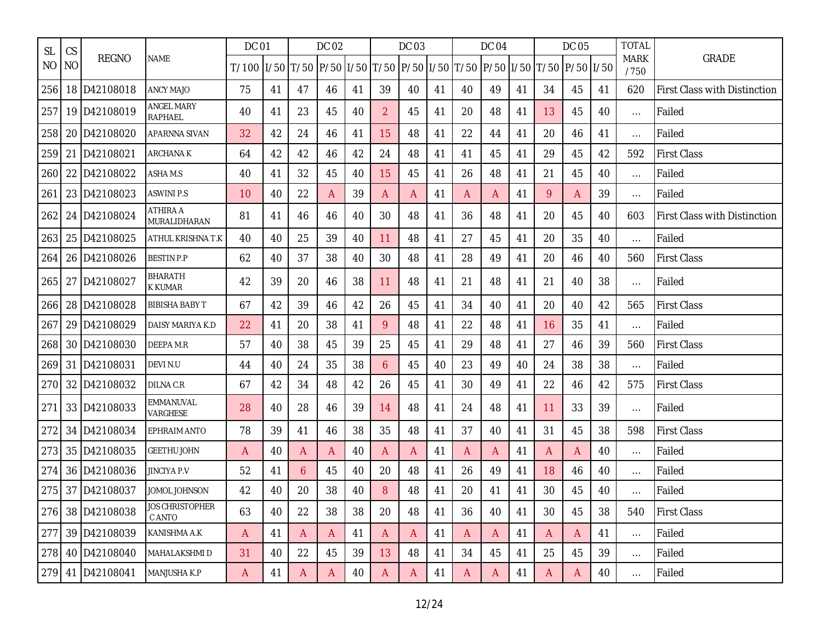| <b>SL</b> | CS        |                  |                                  | <b>DC 01</b> |    |              | <b>DC 02</b> |    |              | <b>DC 03</b> |    |    | <b>DC 04</b> |    |                                                                              | <b>DC 05</b> |    | <b>TOTAL</b>        |                                     |
|-----------|-----------|------------------|----------------------------------|--------------|----|--------------|--------------|----|--------------|--------------|----|----|--------------|----|------------------------------------------------------------------------------|--------------|----|---------------------|-------------------------------------|
| NO.       | <b>NO</b> | <b>REGNO</b>     | <b>NAME</b>                      | T/100        |    |              |              |    |              |              |    |    |              |    | 1/50  T/50  P/50  1/50  T/50  P/50  1/50  T/50  P/50  1/50  T/50  P/50  1/50 |              |    | <b>MARK</b><br>/750 | <b>GRADE</b>                        |
| 256       |           | 18 D42108018     | ANCY MAJO                        | 75           | 41 | 47           | 46           | 41 | 39           | 40           | 41 | 40 | 49           | 41 | 34                                                                           | 45           | 41 | 620                 | <b>First Class with Distinction</b> |
| 257       |           | 19 D42108019     | ANGEL MARY<br>RAPHAEL            | 40           | 41 | 23           | 45           | 40 | 2            | 45           | 41 | 20 | 48           | 41 | 13                                                                           | 45           | 40 | $\ldots$            | Failed                              |
| 258       |           | 20 D42108020     | <b>APARNNA SIVAN</b>             | 32           | 42 | 24           | 46           | 41 | 15           | 48           | 41 | 22 | 44           | 41 | 20                                                                           | 46           | 41 | $\ldots$            | Failed                              |
| 259       |           | 21 D42108021     | <b>ARCHANAK</b>                  | 64           | 42 | 42           | 46           | 42 | 24           | 48           | 41 | 41 | 45           | 41 | 29                                                                           | 45           | 42 | 592                 | <b>First Class</b>                  |
| 260       |           | 22 D42108022     | ASHA M.S                         | 40           | 41 | 32           | 45           | 40 | 15           | 45           | 41 | 26 | 48           | 41 | 21                                                                           | 45           | 40 | $\ldots$            | Failed                              |
| 261       |           | 23 D42108023     | <b>ASWINI P.S</b>                | 10           | 40 | 22           | A            | 39 | A            | A            | 41 | A  | A            | 41 | 9                                                                            | A            | 39 | $\ldots$            | Failed                              |
| 262       |           | 24 D42108024     | ATHIRA A<br>MURALIDHARAN         | 81           | 41 | 46           | 46           | 40 | 30           | 48           | 41 | 36 | 48           | 41 | 20                                                                           | 45           | 40 | 603                 | <b>First Class with Distinction</b> |
| 263       |           | 25 D42108025     | ATHUL KRISHNA T.K                | 40           | 40 | 25           | 39           | 40 | 11           | 48           | 41 | 27 | 45           | 41 | 20                                                                           | 35           | 40 | $\ldots$            | Failed                              |
| 264       |           | 26 D42108026     | <b>BESTIN P.P</b>                | 62           | 40 | 37           | 38           | 40 | 30           | 48           | 41 | 28 | 49           | 41 | 20                                                                           | 46           | 40 | 560                 | <b>First Class</b>                  |
|           |           | 265 27 D42108027 | <b>BHARATH</b><br>K KUMAR        | 42           | 39 | 20           | 46           | 38 | 11           | 48           | 41 | 21 | 48           | 41 | 21                                                                           | 40           | 38 | $\ldots$            | Failed                              |
| 266       |           | 28 D42108028     | <b>BIBISHA BABY T</b>            | 67           | 42 | 39           | 46           | 42 | 26           | 45           | 41 | 34 | 40           | 41 | 20                                                                           | 40           | 42 | 565                 | <b>First Class</b>                  |
| 267       |           | 29 D42108029     | DAISY MARIYA K.D                 | 22           | 41 | 20           | 38           | 41 | 9            | 48           | 41 | 22 | 48           | 41 | 16                                                                           | 35           | 41 | $\cdots$            | Failed                              |
| 268       |           | 30 D42108030     | DEEPA M.R                        | 57           | 40 | 38           | 45           | 39 | 25           | 45           | 41 | 29 | 48           | 41 | 27                                                                           | 46           | 39 | 560                 | <b>First Class</b>                  |
| 269       |           | 31 D42108031     | DEVI N.U                         | 44           | 40 | 24           | 35           | 38 | 6            | 45           | 40 | 23 | 49           | 40 | 24                                                                           | 38           | 38 | $\ldots$            | Failed                              |
| 270       |           | 32 D42108032     | <b>DILNACR</b>                   | 67           | 42 | 34           | 48           | 42 | 26           | 45           | 41 | 30 | 49           | 41 | 22                                                                           | 46           | 42 | 575                 | <b>First Class</b>                  |
| 271       |           | 33 D42108033     | EMMANUVAL<br>VARGHESE            | 28           | 40 | 28           | 46           | 39 | 14           | 48           | 41 | 24 | 48           | 41 | 11                                                                           | 33           | 39 | $\ldots$            | Failed                              |
| 272       |           | 34 D42108034     | <b>EPHRAIM ANTO</b>              | 78           | 39 | 41           | 46           | 38 | 35           | 48           | 41 | 37 | 40           | 41 | 31                                                                           | 45           | 38 | 598                 | <b>First Class</b>                  |
| 273       |           | 35 D42108035     | <b>GEETHU JOHN</b>               | A            | 40 | A            | A            | 40 | A            | A            | 41 | A  | A            | 41 | A                                                                            | A            | 40 | $\ldots$            | Failed                              |
| 274       |           | 36 D42108036     | <b>JINCIYA P.V</b>               | 52           | 41 | 6            | 45           | 40 | 20           | 48           | 41 | 26 | 49           | 41 | 18                                                                           | 46           | 40 | $\cdots$            | Failed                              |
|           |           | 275 37 D42108037 | <b>JOMOL JOHNSON</b>             | 42           | 40 | 20           | 38           | 40 | 8            | 48           | 41 | 20 | 41           | 41 | 30                                                                           | 45           | 40 | $\cdots$            | Failed                              |
|           |           | 276 38 D42108038 | <b>JOS CHRISTOPHER</b><br>C ANTO | 63           | 40 | 22           | 38           | 38 | 20           | 48           | 41 | 36 | 40           | 41 | 30                                                                           | 45           | 38 | 540                 | <b>First Class</b>                  |
|           |           | 277 39 D42108039 | KANISHMA A.K                     | $\mathsf{A}$ | 41 | A            | A            | 41 | A            | A            | 41 | A  | A            | 41 | A                                                                            | A            | 41 | $\ldots$            | Failed                              |
|           |           | 278 40 D42108040 | MAHALAKSHMI D                    | 31           | 40 | 22           | 45           | 39 | 13           | 48           | 41 | 34 | 45           | 41 | 25                                                                           | 45           | 39 | $\ldots$            | Failed                              |
|           |           | 279 41 D42108041 | MANJUSHA K.P                     | $\mathsf{A}$ | 41 | $\mathsf{A}$ | $\mathsf{A}$ | 40 | $\mathsf{A}$ | A            | 41 | A  | $\mathsf{A}$ | 41 | A                                                                            | A            | 40 | $\ldots$            | Failed                              |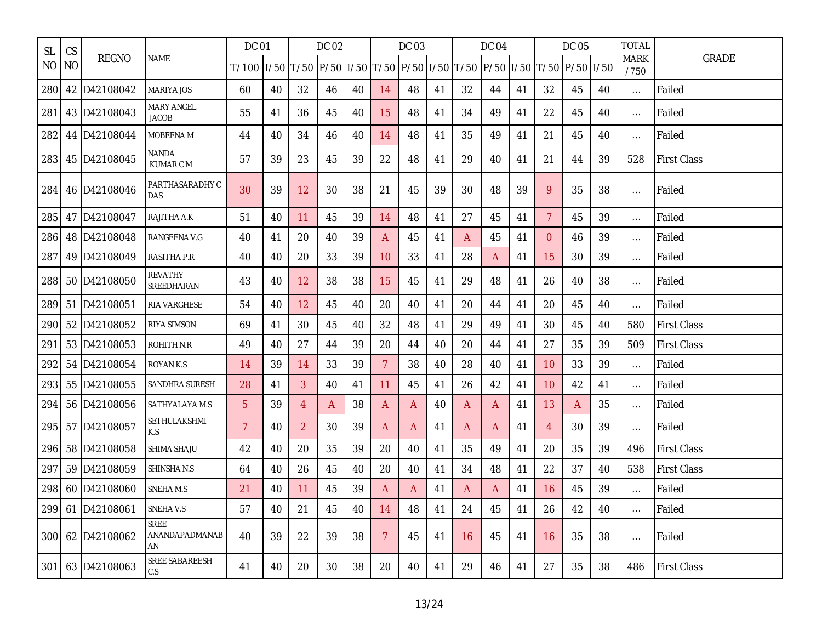| <b>SL</b> | CS             |                  |                                     | <b>DC 01</b>   |    |                   | DC 02 |    |                                                             | DC 03 |    |              | DC 04 |    |                | DC 05        |    | <b>TOTAL</b>        |                    |
|-----------|----------------|------------------|-------------------------------------|----------------|----|-------------------|-------|----|-------------------------------------------------------------|-------|----|--------------|-------|----|----------------|--------------|----|---------------------|--------------------|
| NO.       | N <sub>O</sub> | <b>REGNO</b>     | <b>NAME</b>                         | T/100          |    |                   |       |    | I/50 T/50 P/50 I/50 T/50 P/50 I/50 T/50 P/50 P/50 I/50 T/50 |       |    |              |       |    |                | P/50 II/50   |    | <b>MARK</b><br>/750 | <b>GRADE</b>       |
| 280       |                | 42 D42108042     | MARIYA JOS                          | 60             | 40 | 32                | 46    | 40 | 14                                                          | 48    | 41 | 32           | 44    | 41 | 32             | 45           | 40 | $\ldots$            | Failed             |
| 281       |                | 43 D42108043     | <b>MARY ANGEL</b><br><b>JACOB</b>   | 55             | 41 | 36                | 45    | 40 | 15                                                          | 48    | 41 | 34           | 49    | 41 | 22             | 45           | 40 | $\ldots$            | Failed             |
| 282       |                | 44 D42108044     | MOBEENA M                           | 44             | 40 | 34                | 46    | 40 | 14                                                          | 48    | 41 | 35           | 49    | 41 | 21             | 45           | 40 | $\ldots$            | Failed             |
| 283       |                | 45 D42108045     | <b>NANDA</b><br>KUMAR C M           | 57             | 39 | 23                | 45    | 39 | 22                                                          | 48    | 41 | 29           | 40    | 41 | 21             | 44           | 39 | 528                 | <b>First Class</b> |
| 2841      |                | 46 D42108046     | PARTHASARADHY C<br><b>DAS</b>       | 30             | 39 | 12                | 30    | 38 | 21                                                          | 45    | 39 | 30           | 48    | 39 | 9              | 35           | 38 | $\cdots$            | Failed             |
| 285       |                | 47 D42108047     | RAJITHA A.K                         | 51             | 40 | 11                | 45    | 39 | 14                                                          | 48    | 41 | 27           | 45    | 41 | $\overline{7}$ | 45           | 39 | $\ldots$            | Failed             |
| 286       |                | 48 D42108048     | RANGEENA V.G                        | 40             | 41 | 20                | 40    | 39 | A                                                           | 45    | 41 | $\mathsf{A}$ | 45    | 41 | $\Omega$       | 46           | 39 | $\ldots$            | Failed             |
| 287       |                | 49 D42108049     | RASITHA P.R                         | 40             | 40 | 20                | 33    | 39 | 10                                                          | 33    | 41 | 28           | A     | 41 | 15             | 30           | 39 | $\ldots$            | Failed             |
| 288       |                | 50 D42108050     | REVATHY<br>SREEDHARAN               | 43             | 40 | $12 \overline{ }$ | 38    | 38 | 15                                                          | 45    | 41 | 29           | 48    | 41 | 26             | 40           | 38 | $\ldots$            | Failed             |
| 289       |                | 51 D42108051     | <b>RIA VARGHESE</b>                 | 54             | 40 | 12                | 45    | 40 | 20                                                          | 40    | 41 | 20           | 44    | 41 | 20             | 45           | 40 | $\ldots$            | Failed             |
| 290       |                | 52 D42108052     | <b>RIYA SIMSON</b>                  | 69             | 41 | 30                | 45    | 40 | 32                                                          | 48    | 41 | 29           | 49    | 41 | 30             | 45           | 40 | 580                 | <b>First Class</b> |
| 291       |                | 53 D42108053     | ROHITH N.R                          | 49             | 40 | 27                | 44    | 39 | 20                                                          | 44    | 40 | 20           | 44    | 41 | 27             | 35           | 39 | 509                 | <b>First Class</b> |
| 292       |                | 54 D42108054     | <b>ROYAN K.S</b>                    | 14             | 39 | 14                | 33    | 39 | $\mathcal{I}$                                               | 38    | 40 | 28           | 40    | 41 | 10             | 33           | 39 | $\ldots$            | Failed             |
| 293       |                | 55 D42108055     | <b>SANDHRA SURESH</b>               | 28             | 41 | 3                 | 40    | 41 | 11                                                          | 45    | 41 | 26           | 42    | 41 | 10             | 42           | 41 | $\ldots$            | Failed             |
| 294       |                | 56 D42108056     | SATHYALAYA M.S                      | 5 <sup>5</sup> | 39 | 4                 | A     | 38 | A                                                           | A     | 40 | A            | A     | 41 | 13             | $\mathsf{A}$ | 35 | $\ldots$            | Failed             |
| 295       |                | 57 D42108057     | SETHULAKSHMI<br>K.S                 | $\overline{7}$ | 40 | 2                 | 30    | 39 | A                                                           | A     | 41 | A            | A     | 41 | 4              | 30           | 39 | $\ldots$            | Failed             |
| 296       |                | 58 D42108058     | SHIMA SHAJU                         | 42             | 40 | 20                | 35    | 39 | 20                                                          | 40    | 41 | 35           | 49    | 41 | 20             | 35           | 39 | 496                 | <b>First Class</b> |
| 297       |                | 59 D42108059     | <b>SHINSHA N.S</b>                  | 64             | 40 | 26                | 45    | 40 | 20                                                          | 40    | 41 | 34           | 48    | 41 | 22             | 37           | 40 | 538                 | <b>First Class</b> |
| 298       |                | 60 D42108060     | SNEHA M.S                           | 21             | 40 | 11                | 45    | 39 | A                                                           | A     | 41 | A            | A     | 41 | 16             | 45           | 39 | $\ldots$            | Failed             |
| 299       |                | 61 D42108061     | <b>SNEHA V.S</b>                    | 57             | 40 | 21                | 45    | 40 | 14                                                          | 48    | 41 | 24           | 45    | 41 | 26             | 42           | 40 | $\ldots$            | Failed             |
| 300       |                | 62 D42108062     | <b>SREE</b><br>ANANDAPADMANAB<br>AN | 40             | 39 | 22                | 39    | 38 | $\mathcal{I}$                                               | 45    | 41 | 16           | 45    | 41 | 16             | 35           | 38 | $\ldots$            | Failed             |
|           |                | 301 63 D42108063 | SREE SABAREESH<br>C.S               | 41             | 40 | 20                | 30    | 38 | 20                                                          | 40    | 41 | 29           | 46    | 41 | 27             | 35           | 38 | 486                 | <b>First Class</b> |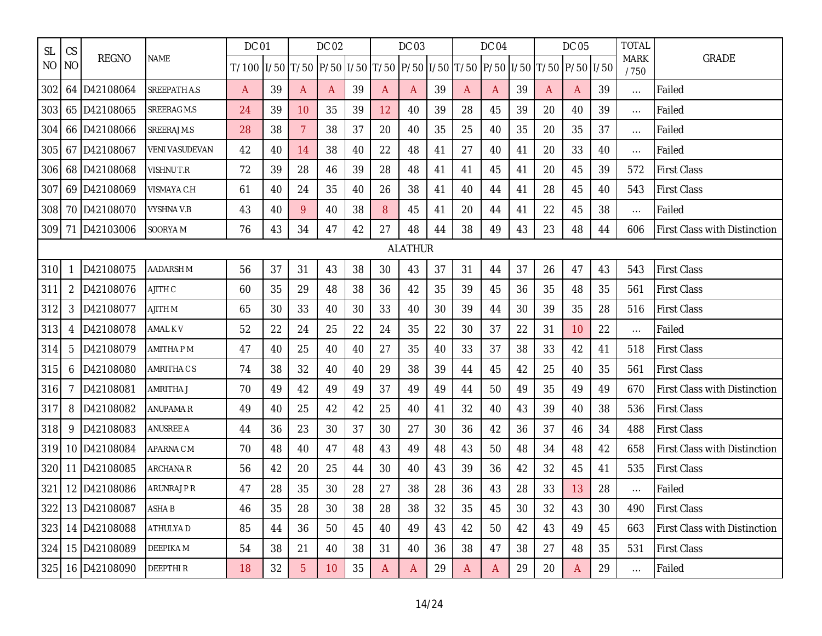| <b>SL</b> | <b>CS</b>      |              |                       | DC 01      |    |                | DC 02 |    |    | <b>DC 03</b>   |    |    | DC 04 |    |                                                                        | DC 05 |    | <b>TOTAL</b>        |                                     |
|-----------|----------------|--------------|-----------------------|------------|----|----------------|-------|----|----|----------------|----|----|-------|----|------------------------------------------------------------------------|-------|----|---------------------|-------------------------------------|
| NO.       | <b>NO</b>      | <b>REGNO</b> | <b>NAME</b>           | T/100 1/50 |    |                |       |    |    |                |    |    |       |    | T/50  P/50  I/50  T/50  P/50  I/50  T/50  P/50  I/50  T/50  P/50  I/50 |       |    | <b>MARK</b><br>/750 | <b>GRADE</b>                        |
| 302       |                | 64 D42108064 | <b>SREEPATH A.S</b>   | A          | 39 | A              | A     | 39 | A  | A              | 39 | A  | A     | 39 | A                                                                      | A     | 39 | $\ldots$            | Failed                              |
| 303       |                | 65 D42108065 | <b>SREERAG M.S</b>    | 24         | 39 | 10             | 35    | 39 | 12 | 40             | 39 | 28 | 45    | 39 | 20                                                                     | 40    | 39 | $\ldots$            | Failed                              |
| 304       |                | 66 D42108066 | SREERAJM.S            | 28         | 38 | $\overline{7}$ | 38    | 37 | 20 | 40             | 35 | 25 | 40    | 35 | 20                                                                     | 35    | 37 | $\ldots$            | Failed                              |
| 305       | 67             | D42108067    | <b>VENI VASUDEVAN</b> | 42         | 40 | 14             | 38    | 40 | 22 | 48             | 41 | 27 | 40    | 41 | 20                                                                     | 33    | 40 | $\ldots$            | Failed                              |
| 306       |                | 68 D42108068 | VISHNU T.R            | 72         | 39 | 28             | 46    | 39 | 28 | 48             | 41 | 41 | 45    | 41 | 20                                                                     | 45    | 39 | 572                 | <b>First Class</b>                  |
| 307       |                | 69 D42108069 | VISMAYA C.H           | 61         | 40 | 24             | 35    | 40 | 26 | 38             | 41 | 40 | 44    | 41 | 28                                                                     | 45    | 40 | 543                 | <b>First Class</b>                  |
| 308       |                | 70 D42108070 | <b>VYSHNA V.B</b>     | 43         | 40 | 9              | 40    | 38 | 8  | 45             | 41 | 20 | 44    | 41 | 22                                                                     | 45    | 38 | $\ldots$            | Failed                              |
| 309       |                | 71 D42103006 | SOORYA M              | 76         | 43 | 34             | 47    | 42 | 27 | 48             | 44 | 38 | 49    | 43 | 23                                                                     | 48    | 44 | 606                 | <b>First Class with Distinction</b> |
|           |                |              |                       |            |    |                |       |    |    | <b>ALATHUR</b> |    |    |       |    |                                                                        |       |    |                     |                                     |
| 310       | $\mathbf 1$    | D42108075    | <b>AADARSH M</b>      | 56         | 37 | 31             | 43    | 38 | 30 | 43             | 37 | 31 | 44    | 37 | 26                                                                     | 47    | 43 | 543                 | <b>First Class</b>                  |
| 311       | $\overline{2}$ | D42108076    | AJITH C               | 60         | 35 | 29             | 48    | 38 | 36 | 42             | 35 | 39 | 45    | 36 | 35                                                                     | 48    | 35 | 561                 | <b>First Class</b>                  |
| 312       | 3              | D42108077    | AJITH M               | 65         | 30 | 33             | 40    | 30 | 33 | 40             | 30 | 39 | 44    | 30 | 39                                                                     | 35    | 28 | 516                 | <b>First Class</b>                  |
| 313       | 4              | D42108078    | AMAL K V              | 52         | 22 | 24             | 25    | 22 | 24 | 35             | 22 | 30 | 37    | 22 | 31                                                                     | 10    | 22 | $\ldots$            | Failed                              |
| 314       | 5              | D42108079    | AMITHA P M            | 47         | 40 | 25             | 40    | 40 | 27 | 35             | 40 | 33 | 37    | 38 | 33                                                                     | 42    | 41 | 518                 | <b>First Class</b>                  |
| 315       | 6              | D42108080    | AMRITHA CS            | 74         | 38 | 32             | 40    | 40 | 29 | 38             | 39 | 44 | 45    | 42 | 25                                                                     | 40    | 35 | 561                 | <b>First Class</b>                  |
| 316       | $\overline{7}$ | D42108081    | AMRITHA J             | 70         | 49 | 42             | 49    | 49 | 37 | 49             | 49 | 44 | 50    | 49 | 35                                                                     | 49    | 49 | 670                 | <b>First Class with Distinction</b> |
| 317       | 8              | D42108082    | <b>ANUPAMA R</b>      | 49         | 40 | 25             | 42    | 42 | 25 | 40             | 41 | 32 | 40    | 43 | 39                                                                     | 40    | 38 | 536                 | <b>First Class</b>                  |
| 318       | 9              | D42108083    | <b>ANUSREE A</b>      | 44         | 36 | 23             | 30    | 37 | 30 | 27             | 30 | 36 | 42    | 36 | 37                                                                     | 46    | 34 | 488                 | <b>First Class</b>                  |
| 319       |                | 10 D42108084 | APARNA C M            | 70         | 48 | 40             | 47    | 48 | 43 | 49             | 48 | 43 | 50    | 48 | 34                                                                     | 48    | 42 | 658                 | <b>First Class with Distinction</b> |
| 320       |                | 11 D42108085 | <b>ARCHANA R</b>      | 56         | 42 | 20             | 25    | 44 | 30 | 40             | 43 | 39 | 36    | 42 | 32                                                                     | 45    | 41 | 535                 | <b>First Class</b>                  |
| 321       |                | 12 D42108086 | <b>ARUNRAJ P R</b>    | 47         | 28 | 35             | 30    | 28 | 27 | 38             | 28 | 36 | 43    | 28 | 33                                                                     | 13    | 28 | $\ldots$            | Failed                              |
| 322       |                | 13 D42108087 | <b>ASHAB</b>          | 46         | 35 | 28             | 30    | 38 | 28 | 38             | 32 | 35 | 45    | 30 | 32                                                                     | 43    | 30 | 490                 | <b>First Class</b>                  |
| 323       |                | 14 D42108088 | <b>ATHULYAD</b>       | 85         | 44 | 36             | 50    | 45 | 40 | 49             | 43 | 42 | 50    | 42 | 43                                                                     | 49    | 45 | 663                 | <b>First Class with Distinction</b> |
| 324       |                | 15 D42108089 | DEEPIKA M             | 54         | 38 | 21             | 40    | 38 | 31 | 40             | 36 | 38 | 47    | 38 | 27                                                                     | 48    | 35 | 531                 | <b>First Class</b>                  |
| 325       |                | 16 D42108090 | <b>DEEPTHIR</b>       | 18         | 32 | 5              | 10    | 35 | A  | A              | 29 | A  | Α     | 29 | 20                                                                     | A     | 29 | $\cdots$            | Failed                              |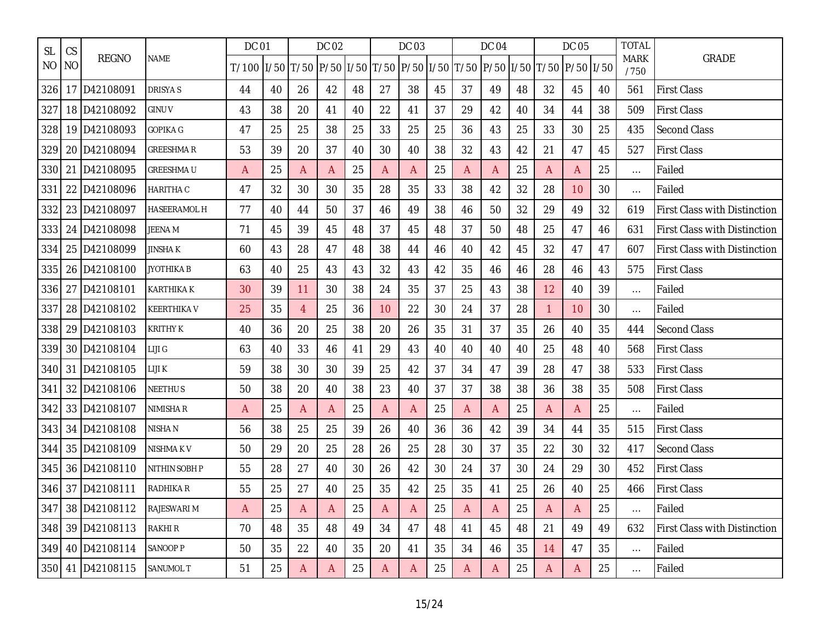| <b>SL</b> | <b>CS</b> |              |                     | DC 01      |    |                | DC 02          |    |    | <b>DC 03</b> |    |    | DC 04 |    |                                                                        | DC 05        |    | <b>TOTAL</b>        |                                     |
|-----------|-----------|--------------|---------------------|------------|----|----------------|----------------|----|----|--------------|----|----|-------|----|------------------------------------------------------------------------|--------------|----|---------------------|-------------------------------------|
| NO.       | <b>NO</b> | <b>REGNO</b> | <b>NAME</b>         | T/100 1/50 |    |                |                |    |    |              |    |    |       |    | T/50  P/50  I/50  T/50  P/50  I/50  T/50  P/50  I/50  T/50  P/50  I/50 |              |    | <b>MARK</b><br>/750 | <b>GRADE</b>                        |
| 326       |           | 17 D42108091 | DRISYA S            | 44         | 40 | 26             | 42             | 48 | 27 | 38           | 45 | 37 | 49    | 48 | 32                                                                     | 45           | 40 | 561                 | <b>First Class</b>                  |
| 327       |           | 18 D42108092 | <b>GINUV</b>        | 43         | 38 | 20             | 41             | 40 | 22 | 41           | 37 | 29 | 42    | 40 | 34                                                                     | 44           | 38 | 509                 | <b>First Class</b>                  |
| 328       |           | 19 D42108093 | <b>GOPIKA G</b>     | 47         | 25 | 25             | 38             | 25 | 33 | 25           | 25 | 36 | 43    | 25 | 33                                                                     | 30           | 25 | 435                 | <b>Second Class</b>                 |
| 329       |           | 20 D42108094 | <b>GREESHMAR</b>    | 53         | 39 | 20             | 37             | 40 | 30 | 40           | 38 | 32 | 43    | 42 | 21                                                                     | 47           | 45 | 527                 | <b>First Class</b>                  |
| 330       | 21        | D42108095    | <b>GREESHMAU</b>    | A          | 25 | A              | $\overline{A}$ | 25 | A  | $\mathsf{A}$ | 25 | A  | A     | 25 | A                                                                      | A            | 25 | $\ldots$            | Failed                              |
| 331       |           | 22 D42108096 | <b>HARITHA C</b>    | 47         | 32 | 30             | 30             | 35 | 28 | 35           | 33 | 38 | 42    | 32 | 28                                                                     | 10           | 30 | $\cdots$            | Failed                              |
| 332       |           | 23 D42108097 | <b>HASEERAMOL H</b> | 77         | 40 | 44             | 50             | 37 | 46 | 49           | 38 | 46 | 50    | 32 | 29                                                                     | 49           | 32 | 619                 | <b>First Class with Distinction</b> |
| 333       |           | 24 D42108098 | JEENA M             | 71         | 45 | 39             | 45             | 48 | 37 | 45           | 48 | 37 | 50    | 48 | 25                                                                     | 47           | 46 | 631                 | <b>First Class with Distinction</b> |
| 334       |           | 25 D42108099 | JINSHA K            | 60         | 43 | 28             | 47             | 48 | 38 | 44           | 46 | 40 | 42    | 45 | 32                                                                     | 47           | 47 | 607                 | <b>First Class with Distinction</b> |
| 335       |           | 26 D42108100 | <b>JYOTHIKA B</b>   | 63         | 40 | 25             | 43             | 43 | 32 | 43           | 42 | 35 | 46    | 46 | 28                                                                     | 46           | 43 | 575                 | <b>First Class</b>                  |
| 336       |           | 27 D42108101 | <b>KARTHIKA K</b>   | 30         | 39 | 11             | 30             | 38 | 24 | 35           | 37 | 25 | 43    | 38 | 12                                                                     | 40           | 39 | $\cdots$            | Failed                              |
| 337       |           | 28 D42108102 | <b>KEERTHIKA V</b>  | 25         | 35 | $\overline{4}$ | 25             | 36 | 10 | 22           | 30 | 24 | 37    | 28 | $\mathbf{1}$                                                           | 10           | 30 | $\ldots$            | Failed                              |
| 338       |           | 29 D42108103 | KRITHY K            | 40         | 36 | 20             | 25             | 38 | 20 | 26           | 35 | 31 | 37    | 35 | 26                                                                     | 40           | 35 | 444                 | <b>Second Class</b>                 |
| 339       |           | 30 D42108104 | LIJI G              | 63         | 40 | 33             | 46             | 41 | 29 | 43           | 40 | 40 | 40    | 40 | 25                                                                     | 48           | 40 | 568                 | <b>First Class</b>                  |
| 340       |           | 31 D42108105 | LIJI K              | 59         | 38 | 30             | 30             | 39 | 25 | 42           | 37 | 34 | 47    | 39 | 28                                                                     | 47           | 38 | 533                 | <b>First Class</b>                  |
| 341       |           | 32 D42108106 | <b>NEETHUS</b>      | 50         | 38 | 20             | 40             | 38 | 23 | 40           | 37 | 37 | 38    | 38 | 36                                                                     | 38           | 35 | 508                 | <b>First Class</b>                  |
| 342       |           | 33 D42108107 | <b>NIMISHAR</b>     | A          | 25 | A              | A              | 25 | A  | A            | 25 | A  | A     | 25 | A                                                                      | $\mathsf{A}$ | 25 | $\ldots$            | Failed                              |
| 343       |           | 34 D42108108 | NISHA N             | 56         | 38 | 25             | 25             | 39 | 26 | 40           | 36 | 36 | 42    | 39 | 34                                                                     | 44           | 35 | 515                 | <b>First Class</b>                  |
| 344       |           | 35 D42108109 | <b>NISHMAKV</b>     | 50         | 29 | 20             | 25             | 28 | 26 | 25           | 28 | 30 | 37    | 35 | 22                                                                     | 30           | 32 | 417                 | <b>Second Class</b>                 |
| 345       |           | 36 D42108110 | NITHIN SOBH P       | 55         | 28 | 27             | 40             | 30 | 26 | 42           | 30 | 24 | 37    | 30 | 24                                                                     | 29           | 30 | 452                 | <b>First Class</b>                  |
| 346       |           | 37 D42108111 | RADHIKA R           | 55         | 25 | 27             | 40             | 25 | 35 | 42           | 25 | 35 | 41    | 25 | 26                                                                     | 40           | 25 | 466                 | <b>First Class</b>                  |
| 347       |           | 38 D42108112 | RAJESWARI M         | A          | 25 | A              | A              | 25 | A  | A            | 25 | A  | A     | 25 | A                                                                      | A            | 25 | $\ldots$            | Failed                              |
| 348       |           | 39 D42108113 | <b>RAKHI R</b>      | 70         | 48 | 35             | 48             | 49 | 34 | 47           | 48 | 41 | 45    | 48 | 21                                                                     | 49           | 49 | 632                 | <b>First Class with Distinction</b> |
| 349       |           | 40 D42108114 | SANOOP <sub>P</sub> | 50         | 35 | 22             | 40             | 35 | 20 | 41           | 35 | 34 | 46    | 35 | 14                                                                     | 47           | 35 | $\ldots$            | Failed                              |
| 350       |           | 41 D42108115 | SANUMOL T           | 51         | 25 | A              | $\overline{A}$ | 25 | A  | A            | 25 | A  | Α     | 25 | A                                                                      | A            | 25 | $\cdots$            | Failed                              |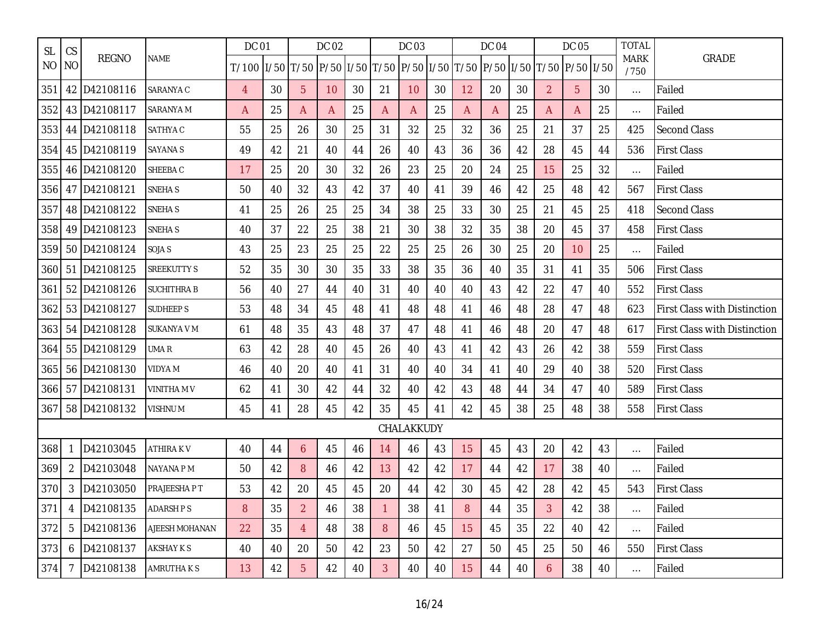| <b>SL</b> | <b>CS</b>      |              |                    | DC 01                                                                               |    |                  | DC 02          |    |              | <b>DC 03</b> |    |    | DC 04 |    |                | <b>DC 05</b> |    | <b>TOTAL</b>        |                                     |
|-----------|----------------|--------------|--------------------|-------------------------------------------------------------------------------------|----|------------------|----------------|----|--------------|--------------|----|----|-------|----|----------------|--------------|----|---------------------|-------------------------------------|
| NO.       | <b>NO</b>      | <b>REGNO</b> | <b>NAME</b>        | T/100  I/50  T/50  P/50  I/50  T/50  P/50  I/50  T/50  P/50  I/50  T/50  P/50  I/50 |    |                  |                |    |              |              |    |    |       |    |                |              |    | <b>MARK</b><br>/750 | <b>GRADE</b>                        |
| 351       |                | 42 D42108116 | SARANYA C          | $\overline{4}$                                                                      | 30 | 5                | 10             | 30 | 21           | 10           | 30 | 12 | 20    | 30 | $\overline{2}$ | 5            | 30 | $\cdots$            | Failed                              |
| 352       |                | 43 D42108117 | SARANYA M          | A                                                                                   | 25 | A                | $\overline{A}$ | 25 | A            | A            | 25 | A  | A     | 25 | A              | A            | 25 | $\ldots$            | Failed                              |
| 353       |                | 44 D42108118 | SATHYA C           | 55                                                                                  | 25 | 26               | 30             | 25 | 31           | 32           | 25 | 32 | 36    | 25 | 21             | 37           | 25 | 425                 | Second Class                        |
| 354       |                | 45 D42108119 | <b>SAYANA S</b>    | 49                                                                                  | 42 | 21               | 40             | 44 | 26           | 40           | 43 | 36 | 36    | 42 | 28             | 45           | 44 | 536                 | <b>First Class</b>                  |
| 355       |                | 46 D42108120 | SHEEBAC            | 17                                                                                  | 25 | 20               | 30             | 32 | 26           | 23           | 25 | 20 | 24    | 25 | 15             | 25           | 32 | $\ldots$            | Failed                              |
| 356       |                | 47 D42108121 | <b>SNEHAS</b>      | 50                                                                                  | 40 | 32               | 43             | 42 | 37           | 40           | 41 | 39 | 46    | 42 | 25             | 48           | 42 | 567                 | <b>First Class</b>                  |
| 357       |                | 48 D42108122 | <b>SNEHAS</b>      | 41                                                                                  | 25 | 26               | 25             | 25 | 34           | 38           | 25 | 33 | 30    | 25 | 21             | 45           | 25 | 418                 | <b>Second Class</b>                 |
| 358       |                | 49 D42108123 | SNEHA <sub>S</sub> | 40                                                                                  | 37 | 22               | 25             | 38 | 21           | 30           | 38 | 32 | 35    | 38 | 20             | 45           | 37 | 458                 | <b>First Class</b>                  |
| 359       |                | 50 D42108124 | SOJA S             | 43                                                                                  | 25 | 23               | 25             | 25 | 22           | 25           | 25 | 26 | 30    | 25 | 20             | 10           | 25 | $\ldots$            | Failed                              |
| 360       |                | 51 D42108125 | <b>SREEKUTTY S</b> | 52                                                                                  | 35 | 30               | 30             | 35 | 33           | 38           | 35 | 36 | 40    | 35 | 31             | 41           | 35 | 506                 | <b>First Class</b>                  |
| 361       |                | 52 D42108126 | <b>SUCHITHRAB</b>  | 56                                                                                  | 40 | 27               | 44             | 40 | 31           | 40           | 40 | 40 | 43    | 42 | 22             | 47           | 40 | 552                 | <b>First Class</b>                  |
| 362       |                | 53 D42108127 | <b>SUDHEEPS</b>    | 53                                                                                  | 48 | 34               | 45             | 48 | 41           | 48           | 48 | 41 | 46    | 48 | 28             | 47           | 48 | 623                 | <b>First Class with Distinction</b> |
| 363       |                | 54 D42108128 | <b>SUKANYA V M</b> | 61                                                                                  | 48 | 35               | 43             | 48 | 37           | 47           | 48 | 41 | 46    | 48 | 20             | 47           | 48 | 617                 | <b>First Class with Distinction</b> |
| 364       |                | 55 D42108129 | UMA R              | 63                                                                                  | 42 | 28               | 40             | 45 | 26           | 40           | 43 | 41 | 42    | 43 | 26             | 42           | 38 | 559                 | <b>First Class</b>                  |
| 365       |                | 56 D42108130 | VIDYA M            | 46                                                                                  | 40 | 20               | 40             | 41 | 31           | 40           | 40 | 34 | 41    | 40 | 29             | 40           | 38 | 520                 | <b>First Class</b>                  |
| 366       |                | 57 D42108131 | VINITHA M V        | 62                                                                                  | 41 | 30               | 42             | 44 | 32           | 40           | 42 | 43 | 48    | 44 | 34             | 47           | 40 | 589                 | <b>First Class</b>                  |
| 367       |                | 58 D42108132 | VISHNU M           | 45                                                                                  | 41 | 28               | 45             | 42 | 35           | 45           | 41 | 42 | 45    | 38 | 25             | 48           | 38 | 558                 | <b>First Class</b>                  |
|           |                |              |                    |                                                                                     |    |                  |                |    |              | CHALAKKUDY   |    |    |       |    |                |              |    |                     |                                     |
| 368       | 1              | D42103045    | <b>ATHIRAKV</b>    | 40                                                                                  | 44 | 6                | 45             | 46 | 14           | 46           | 43 | 15 | 45    | 43 | 20             | 42           | 43 | $\ldots$            | Failed                              |
| 369       | $\overline{2}$ | D42103048    | NAYANA P M         | 50                                                                                  | 42 | $\boldsymbol{8}$ | 46             | 42 | 13           | 42           | 42 | 17 | 44    | 42 | 17             | 38           | 40 | $\ldots$            | Failed                              |
| 370       | 3              | D42103050    | PRAJEESHA PT       | 53                                                                                  | 42 | 20               | 45             | 45 | 20           | 44           | 42 | 30 | 45    | 42 | 28             | 42           | 45 | 543                 | <b>First Class</b>                  |
| 371       | $\overline{4}$ | D42108135    | <b>ADARSHPS</b>    | 8                                                                                   | 35 | $\overline{2}$   | 46             | 38 | $\mathbf{1}$ | 38           | 41 | 8  | 44    | 35 | 3              | 42           | 38 | $\cdots$            | Failed                              |
| 372       | 5              | D42108136    | AJEESH MOHANAN     | 22                                                                                  | 35 | $\overline{4}$   | 48             | 38 | 8            | 46           | 45 | 15 | 45    | 35 | 22             | 40           | 42 | $\ldots$            | Failed                              |
| 373       | 6              | D42108137    | <b>AKSHAY K S</b>  | 40                                                                                  | 40 | 20               | 50             | 42 | 23           | 50           | 42 | 27 | 50    | 45 | 25             | 50           | 46 | 550                 | <b>First Class</b>                  |
| 374       | 7              | D42108138    | <b>AMRUTHAKS</b>   | 13                                                                                  | 42 | 5                | 42             | 40 | 3            | 40           | 40 | 15 | 44    | 40 | 6              | 38           | 40 | $\cdots$            | Failed                              |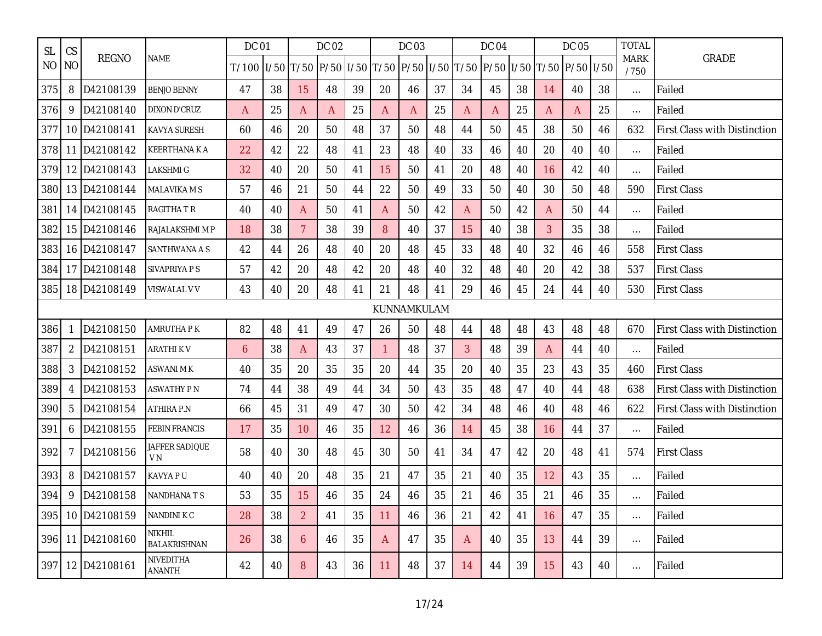| <b>SL</b> | CS             |                  |                                      | <b>DC 01</b> |    |                | DC 02 |    |                                                        | DC 03       |    |                | DC 04 |    |                | DC 05       |    | <b>TOTAL</b>        |                                     |
|-----------|----------------|------------------|--------------------------------------|--------------|----|----------------|-------|----|--------------------------------------------------------|-------------|----|----------------|-------|----|----------------|-------------|----|---------------------|-------------------------------------|
| NO        | N <sub>O</sub> | <b>REGNO</b>     | <b>NAME</b>                          | T/100        |    |                |       |    | 1/50 T/50 P/50 1/50 T/50 P/50 1/50 T/50 P/50 1/50 T/50 |             |    |                |       |    |                | IP/50 II/50 |    | <b>MARK</b><br>/750 | <b>GRADE</b>                        |
| 375       | 8              | D42108139        | <b>BENJO BENNY</b>                   | 47           | 38 | 15             | 48    | 39 | 20                                                     | 46          | 37 | 34             | 45    | 38 | 14             | 40          | 38 | $\ldots$            | Failed                              |
| 376       | 9              | D42108140        | <b>DIXON D'CRUZ</b>                  | A            | 25 | A              | A     | 25 | A                                                      | A           | 25 | A              | A     | 25 | $\overline{A}$ | A           | 25 | $\ldots$            | Failed                              |
| 377       |                | 10 D42108141     | <b>KAVYA SURESH</b>                  | 60           | 46 | 20             | 50    | 48 | 37                                                     | 50          | 48 | 44             | 50    | 45 | 38             | 50          | 46 | 632                 | First Class with Distinction        |
| 378       | 11             | D42108142        | <b>KEERTHANA K A</b>                 | 22           | 42 | 22             | 48    | 41 | 23                                                     | 48          | 40 | 33             | 46    | 40 | 20             | 40          | 40 | $\ldots$            | Failed                              |
| 379       |                | 12 D42108143     | <b>LAKSHMIG</b>                      | 32           | 40 | 20             | 50    | 41 | 15                                                     | 50          | 41 | 20             | 48    | 40 | 16             | 42          | 40 | $\ldots$            | Failed                              |
| 380       |                | 13 D42108144     | <b>MALAVIKA M S</b>                  | 57           | 46 | 21             | 50    | 44 | 22                                                     | 50          | 49 | 33             | 50    | 40 | 30             | 50          | 48 | 590                 | <b>First Class</b>                  |
| 381       |                | 14 D42108145     | RAGITHA T R                          | 40           | 40 | $\overline{A}$ | 50    | 41 | A                                                      | 50          | 42 | $\overline{A}$ | 50    | 42 | A              | 50          | 44 | $\ldots$            | Failed                              |
| 382       |                | 15 D42108146     | RAJALAKSHMI M P                      | 18           | 38 | $\overline{7}$ | 38    | 39 | 8                                                      | 40          | 37 | 15             | 40    | 38 | 3              | 35          | 38 | $\cdots$            | Failed                              |
| 383       |                | 16 D42108147     | SANTHWANA A S                        | 42           | 44 | 26             | 48    | 40 | 20                                                     | 48          | 45 | 33             | 48    | 40 | 32             | 46          | 46 | 558                 | <b>First Class</b>                  |
| 384       |                | 17 D42108148     | <b>SIVAPRIYA PS</b>                  | 57           | 42 | 20             | 48    | 42 | 20                                                     | 48          | 40 | 32             | 48    | 40 | 20             | 42          | 38 | 537                 | <b>First Class</b>                  |
| 385       |                | 18 D42108149     | <b>VISWALAL V V</b>                  | 43           | 40 | 20             | 48    | 41 | 21                                                     | 48          | 41 | 29             | 46    | 45 | 24             | 44          | 40 | 530                 | <b>First Class</b>                  |
|           |                |                  |                                      |              |    |                |       |    |                                                        | KUNNAMKULAM |    |                |       |    |                |             |    |                     |                                     |
| 386       | 1              | D42108150        | <b>AMRUTHA PK</b>                    | 82           | 48 | 41             | 49    | 47 | 26                                                     | 50          | 48 | 44             | 48    | 48 | 43             | 48          | 48 | 670                 | First Class with Distinction        |
| 387       | $\overline{2}$ | D42108151        | <b>ARATHIKV</b>                      | 6            | 38 | A              | 43    | 37 | $\mathbf{1}$                                           | 48          | 37 | 3              | 48    | 39 | A              | 44          | 40 | $\ldots$            | Failed                              |
| 388       | 3              | D42108152        | <b>ASWANI M K</b>                    | 40           | 35 | 20             | 35    | 35 | 20                                                     | 44          | 35 | 20             | 40    | 35 | 23             | 43          | 35 | 460                 | <b>First Class</b>                  |
| 389       | 4              | D42108153        | <b>ASWATHY PN</b>                    | 74           | 44 | 38             | 49    | 44 | 34                                                     | 50          | 43 | 35             | 48    | 47 | 40             | 44          | 48 | 638                 | <b>First Class with Distinction</b> |
| 390       | 5              | D42108154        | <b>ATHIRA P.N</b>                    | 66           | 45 | 31             | 49    | 47 | 30                                                     | 50          | 42 | 34             | 48    | 46 | 40             | 48          | 46 | 622                 | First Class with Distinction        |
| 391       | 6              | D42108155        | <b>FEBIN FRANCIS</b>                 | 17           | 35 | 10             | 46    | 35 | 12                                                     | 46          | 36 | 14             | 45    | 38 | 16             | 44          | 37 | $\ldots$            | Failed                              |
| 392       | 7              | D42108156        | JAFFER SADIQUE<br>V <sub>N</sub>     | 58           | 40 | 30             | 48    | 45 | 30                                                     | 50          | 41 | 34             | 47    | 42 | 20             | 48          | 41 | 574                 | <b>First Class</b>                  |
| 393       | 8              | D42108157        | KAVYA PU                             | 40           | 40 | 20             | 48    | 35 | 21                                                     | 47          | 35 | 21             | 40    | 35 | 12             | 43          | 35 | $\ldots$            | Failed                              |
| 394       | 9              | D42108158        | <b>NANDHANATS</b>                    | 53           | 35 | 15             | 46    | 35 | 24                                                     | 46          | 35 | 21             | 46    | 35 | 21             | 46          | 35 | $\dots$             | Failed                              |
| 395       |                | 10 D42108159     | <b>NANDINIKC</b>                     | 28           | 38 | $\overline{2}$ | 41    | 35 | 11                                                     | 46          | 36 | 21             | 42    | 41 | 16             | 47          | 35 | $\dots$             | Failed                              |
| 396       |                | 11 D42108160     | <b>NIKHIL</b><br><b>BALAKRISHNAN</b> | 26           | 38 | 6              | 46    | 35 | A                                                      | 47          | 35 | A              | 40    | 35 | 13             | 44          | 39 | $\dots$             | Failed                              |
|           |                | 397 12 D42108161 | NIVEDITHA<br><b>ANANTH</b>           | 42           | 40 | 8              | 43    | 36 | 11                                                     | 48          | 37 | 14             | 44    | 39 | 15             | 43          | 40 | $\cdots$            | Failed                              |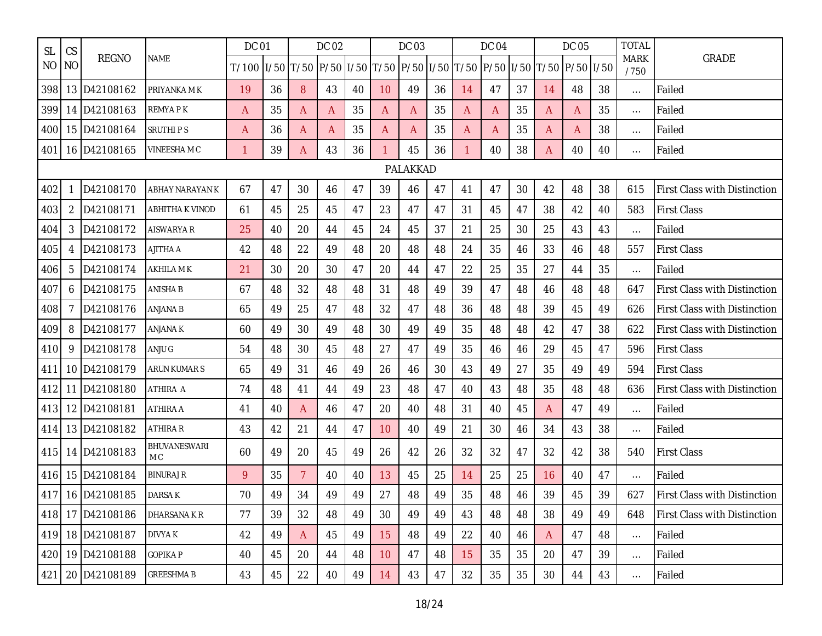| <b>SL</b> | CS             |                  |                                | <b>DC 01</b>                                                                                     |    |    | <b>DC 02</b> |    |    | <b>DC 03</b> |    |              | <b>DC 04</b> |    |    | <b>DC 05</b> |    | <b>TOTAL</b>        |                                     |
|-----------|----------------|------------------|--------------------------------|--------------------------------------------------------------------------------------------------|----|----|--------------|----|----|--------------|----|--------------|--------------|----|----|--------------|----|---------------------|-------------------------------------|
| NO.       | <b>NO</b>      | <b>REGNO</b>     | NAME                           | T/100   1/50   T/50   P/50   1/50   T/50   P/50   1/50   T/50   P/50   1/50   T/50   P/50   1/50 |    |    |              |    |    |              |    |              |              |    |    |              |    | <b>MARK</b><br>/750 | <b>GRADE</b>                        |
| 398       |                | 13 D42108162     | PRIYANKA M K                   | 19                                                                                               | 36 | 8  | 43           | 40 | 10 | 49           | 36 | 14           | 47           | 37 | 14 | 48           | 38 | $\ldots$            | Failed                              |
| 399       |                | 14 D42108163     | <b>REMYAPK</b>                 | A                                                                                                | 35 | A  | A            | 35 | A  | A            | 35 | A            | A            | 35 | A  | A            | 35 | $\cdots$            | Failed                              |
| 400       |                | 15 D42108164     | <b>SRUTHIPS</b>                | A                                                                                                | 36 | A  | Α            | 35 | A  | A            | 35 | A            | A            | 35 | A  | A            | 38 | $\ldots$            | Failed                              |
| 401       |                | 16 D42108165     | VINEESHAM C                    | 1                                                                                                | 39 | A  | 43           | 36 |    | 45           | 36 | $\mathbf{1}$ | 40           | 38 | Α  | 40           | 40 | $\cdots$            | Failed                              |
|           |                |                  |                                |                                                                                                  |    |    |              |    |    | PALAKKAD     |    |              |              |    |    |              |    |                     |                                     |
| 402       | -1             | D42108170        | <b>ABHAY NARAYAN K</b>         | 67                                                                                               | 47 | 30 | 46           | 47 | 39 | 46           | 47 | 41           | 47           | 30 | 42 | 48           | 38 | 615                 | <b>First Class with Distinction</b> |
| 403       | $\overline{2}$ | D42108171        | <b>ABHITHA K VINOD</b>         | 61                                                                                               | 45 | 25 | 45           | 47 | 23 | 47           | 47 | 31           | 45           | 47 | 38 | 42           | 40 | 583                 | <b>First Class</b>                  |
| 404       | 3              | D42108172        | AISWARYA R                     | 25                                                                                               | 40 | 20 | 44           | 45 | 24 | 45           | 37 | 21           | 25           | 30 | 25 | 43           | 43 | $\ldots$            | Failed                              |
| 405       | 4              | D42108173        | AJITHA A                       | 42                                                                                               | 48 | 22 | 49           | 48 | 20 | 48           | 48 | 24           | 35           | 46 | 33 | 46           | 48 | 557                 | <b>First Class</b>                  |
| 406       | 5              | D42108174        | AKHILA M K                     | 21                                                                                               | 30 | 20 | 30           | 47 | 20 | 44           | 47 | 22           | 25           | 35 | 27 | 44           | 35 | $\cdots$            | Failed                              |
| 407       | 6              | D42108175        | <b>ANISHA B</b>                | 67                                                                                               | 48 | 32 | 48           | 48 | 31 | 48           | 49 | 39           | 47           | 48 | 46 | 48           | 48 | 647                 | First Class with Distinction        |
| 408       | 7              | D42108176        | <b>ANJANA B</b>                | 65                                                                                               | 49 | 25 | 47           | 48 | 32 | 47           | 48 | 36           | 48           | 48 | 39 | 45           | 49 | 626                 | First Class with Distinction        |
| 409       | 8              | D42108177        | ANJANA K                       | 60                                                                                               | 49 | 30 | 49           | 48 | 30 | 49           | 49 | 35           | 48           | 48 | 42 | 47           | 38 | 622                 | <b>First Class with Distinction</b> |
| 410       | 9              | D42108178        | ANJU G                         | 54                                                                                               | 48 | 30 | 45           | 48 | 27 | 47           | 49 | 35           | 46           | 46 | 29 | 45           | 47 | 596                 | <b>First Class</b>                  |
| 411       |                | 10 D42108179     | <b>ARUN KUMARS</b>             | 65                                                                                               | 49 | 31 | 46           | 49 | 26 | 46           | 30 | 43           | 49           | 27 | 35 | 49           | 49 | 594                 | <b>First Class</b>                  |
| 412       |                | 11 D42108180     | ATHIRA A                       | 74                                                                                               | 48 | 41 | 44           | 49 | 23 | 48           | 47 | 40           | 43           | 48 | 35 | 48           | 48 | 636                 | First Class with Distinction        |
| 413       |                | 12 D42108181     | ATHIRA A                       | 41                                                                                               | 40 | A  | 46           | 47 | 20 | 40           | 48 | 31           | 40           | 45 | A  | 47           | 49 | $\ldots$            | Failed                              |
| 414       |                | 13 D42108182     | <b>ATHIRA R</b>                | 43                                                                                               | 42 | 21 | 44           | 47 | 10 | 40           | 49 | 21           | 30           | 46 | 34 | 43           | 38 | $\cdots$            | Failed                              |
| 415       |                | 14 D42108183     | BHUVANESWARI<br>M <sub>C</sub> | 60                                                                                               | 49 | 20 | 45           | 49 | 26 | 42           | 26 | 32           | 32           | 47 | 32 | 42           | 38 | 540                 | <b>First Class</b>                  |
| 416       |                | 15 D42108184     | <b>BINURAJ R</b>               | 9                                                                                                | 35 | 7  | 40           | 40 | 13 | 45           | 25 | 14           | 25           | 25 | 16 | 40           | 47 | $\cdots$            | Failed                              |
|           |                | 417 16 D42108185 | DARSA K                        | 70                                                                                               | 49 | 34 | 49           | 49 | 27 | 48           | 49 | 35           | 48           | 46 | 39 | 45           | 39 | 627                 | <b>First Class with Distinction</b> |
|           |                | 418 17 D42108186 | DHARSANA K R                   | 77                                                                                               | 39 | 32 | 48           | 49 | 30 | 49           | 49 | 43           | 48           | 48 | 38 | 49           | 49 | 648                 | <b>First Class with Distinction</b> |
|           |                | 419 18 D42108187 | <b>DIVYAK</b>                  | 42                                                                                               | 49 | A  | 45           | 49 | 15 | 48           | 49 | 22           | 40           | 46 | A  | 47           | 48 | $\cdots$            | Failed                              |
| 420       |                | 19 D42108188     | <b>GOPIKAP</b>                 | 40                                                                                               | 45 | 20 | 44           | 48 | 10 | 47           | 48 | 15           | 35           | 35 | 20 | 47           | 39 | $\cdots$            | Failed                              |
| 421       |                | 20 D42108189     | <b>GREESHMA B</b>              | 43                                                                                               | 45 | 22 | 40           | 49 | 14 | 43           | 47 | 32           | 35           | 35 | 30 | 44           | 43 | $\ldots$            | Failed                              |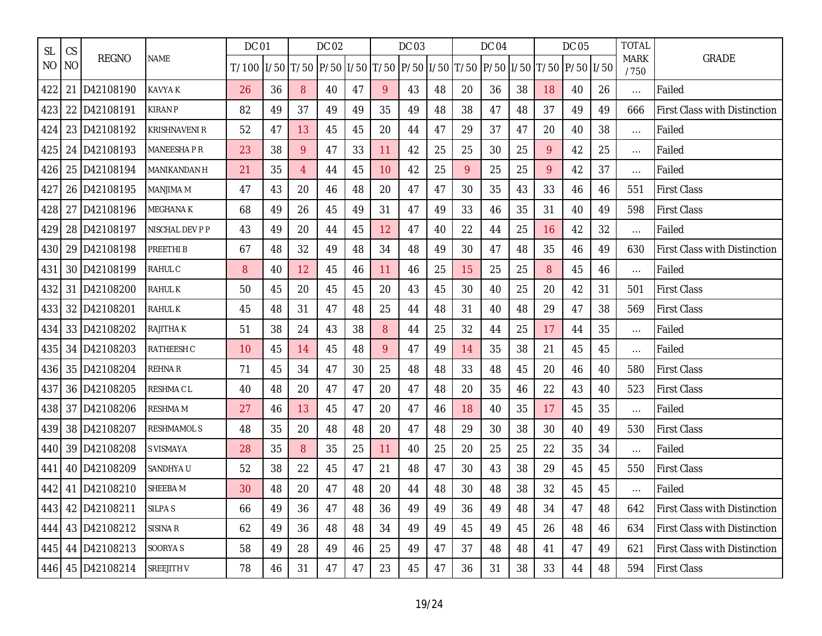| <b>SL</b> | CS        |                  |                      | <b>DC 01</b> |    |                | <b>DC 02</b> |    |                                                                              | DC 03 |    |    | DC 04 |    |    | <b>DC 05</b> |    | <b>TOTAL</b>        |                                     |
|-----------|-----------|------------------|----------------------|--------------|----|----------------|--------------|----|------------------------------------------------------------------------------|-------|----|----|-------|----|----|--------------|----|---------------------|-------------------------------------|
| NO I      | <b>NO</b> | <b>REGNO</b>     | <b>NAME</b>          | T/100        |    |                |              |    | 1/50  T/50  P/50  1/50  T/50  P/50  1/50  T/50  P/50  1/50  T/50  P/50  1/50 |       |    |    |       |    |    |              |    | <b>MARK</b><br>/750 | <b>GRADE</b>                        |
| 422       | 21        | D42108190        | <b>KAVYA K</b>       | 26           | 36 | 8              | 40           | 47 | 9                                                                            | 43    | 48 | 20 | 36    | 38 | 18 | 40           | 26 | $\ldots$            | Failed                              |
| 423       |           | 22 D42108191     | <b>KIRAN P</b>       | 82           | 49 | 37             | 49           | 49 | 35                                                                           | 49    | 48 | 38 | 47    | 48 | 37 | 49           | 49 | 666                 | <b>First Class with Distinction</b> |
| 424       |           | 23 D42108192     | <b>KRISHNAVENI R</b> | 52           | 47 | 13             | 45           | 45 | 20                                                                           | 44    | 47 | 29 | 37    | 47 | 20 | 40           | 38 | $\cdots$            | Failed                              |
| 425       |           | 24 D42108193     | <b>MANEESHAPR</b>    | 23           | 38 | 9              | 47           | 33 | 11                                                                           | 42    | 25 | 25 | 30    | 25 | 9  | 42           | 25 | $\ldots$            | Failed                              |
| 426       |           | 25 D42108194     | <b>MANIKANDAN H</b>  | 21           | 35 | $\overline{4}$ | 44           | 45 | 10                                                                           | 42    | 25 | 9  | 25    | 25 | 9  | 42           | 37 | $\cdots$            | Failed                              |
| 427       |           | 26 D42108195     | MANJIMA M            | 47           | 43 | 20             | 46           | 48 | 20                                                                           | 47    | 47 | 30 | 35    | 43 | 33 | 46           | 46 | 551                 | <b>First Class</b>                  |
| 428       | 27        | D42108196        | <b>MEGHANA K</b>     | 68           | 49 | 26             | 45           | 49 | 31                                                                           | 47    | 49 | 33 | 46    | 35 | 31 | 40           | 49 | 598                 | <b>First Class</b>                  |
| 429       |           | 28 D42108197     | NISCHAL DEV P P      | 43           | 49 | 20             | 44           | 45 | 12                                                                           | 47    | 40 | 22 | 44    | 25 | 16 | 42           | 32 | $\ldots$            | Failed                              |
| 430       |           | 29 D42108198     | <b>PREETHIB</b>      | 67           | 48 | 32             | 49           | 48 | 34                                                                           | 48    | 49 | 30 | 47    | 48 | 35 | 46           | 49 | 630                 | First Class with Distinction        |
| 431       |           | 30 D42108199     | <b>RAHUL C</b>       | 8            | 40 | 12             | 45           | 46 | 11                                                                           | 46    | 25 | 15 | 25    | 25 | 8  | 45           | 46 | $\cdots$            | Failed                              |
| 432       |           | 31 D42108200     | <b>RAHULK</b>        | 50           | 45 | 20             | 45           | 45 | 20                                                                           | 43    | 45 | 30 | 40    | 25 | 20 | 42           | 31 | 501                 | <b>First Class</b>                  |
| 433       |           | 32 D42108201     | <b>RAHUL K</b>       | 45           | 48 | 31             | 47           | 48 | 25                                                                           | 44    | 48 | 31 | 40    | 48 | 29 | 47           | 38 | 569                 | <b>First Class</b>                  |
| 434       |           | 33 D42108202     | RAJITHA K            | 51           | 38 | 24             | 43           | 38 | 8                                                                            | 44    | 25 | 32 | 44    | 25 | 17 | 44           | 35 | $\ldots$            | Failed                              |
| 435       |           | 34 D42108203     | RATHEESH C           | 10           | 45 | 14             | 45           | 48 | 9                                                                            | 47    | 49 | 14 | 35    | 38 | 21 | 45           | 45 | $\ldots$            | Failed                              |
| 436       |           | 35 D42108204     | <b>REHNAR</b>        | 71           | 45 | 34             | 47           | 30 | 25                                                                           | 48    | 48 | 33 | 48    | 45 | 20 | 46           | 40 | 580                 | <b>First Class</b>                  |
| 437       |           | 36 D42108205     | RESHMA C L           | 40           | 48 | 20             | 47           | 47 | 20                                                                           | 47    | 48 | 20 | 35    | 46 | 22 | 43           | 40 | 523                 | <b>First Class</b>                  |
| 438       |           | 37 D42108206     | <b>RESHMA M</b>      | 27           | 46 | 13             | 45           | 47 | 20                                                                           | 47    | 46 | 18 | 40    | 35 | 17 | 45           | 35 | $\ldots$            | Failed                              |
| 439       |           | 38 D42108207     | <b>RESHMAMOLS</b>    | 48           | 35 | 20             | 48           | 48 | 20                                                                           | 47    | 48 | 29 | 30    | 38 | 30 | 40           | 49 | 530                 | <b>First Class</b>                  |
| 440       |           | 39 D42108208     | S VISMAYA            | 28           | 35 | 8              | 35           | 25 | 11                                                                           | 40    | 25 | 20 | 25    | 25 | 22 | 35           | 34 | $\ldots$            | Failed                              |
| 441       |           | 40 D42108209     | SANDHYA U            | 52           | 38 | 22             | 45           | 47 | 21                                                                           | 48    | 47 | 30 | 43    | 38 | 29 | 45           | 45 | 550                 | <b>First Class</b>                  |
| 442       | 41        | D42108210        | SHEEBA M             | 30           | 48 | 20             | 47           | 48 | 20                                                                           | 44    | 48 | 30 | 48    | 38 | 32 | 45           | 45 | $\cdots$            | Failed                              |
| 443       |           | 42 D42108211     | <b>SILPAS</b>        | 66           | 49 | 36             | 47           | 48 | 36                                                                           | 49    | 49 | 36 | 49    | 48 | 34 | 47           | 48 | 642                 | <b>First Class with Distinction</b> |
| 444       |           | 43 D42108212     | SISINA R             | 62           | 49 | 36             | 48           | 48 | 34                                                                           | 49    | 49 | 45 | 49    | 45 | 26 | 48           | 46 | 634                 | <b>First Class with Distinction</b> |
| 445       |           | 44 D42108213     | SOORYA S             | 58           | 49 | 28             | 49           | 46 | 25                                                                           | 49    | 47 | 37 | 48    | 48 | 41 | 47           | 49 | 621                 | <b>First Class with Distinction</b> |
|           |           | 446 45 D42108214 | SREEJITH V           | 78           | 46 | 31             | 47           | 47 | 23                                                                           | 45    | 47 | 36 | 31    | 38 | 33 | 44           | 48 | 594                 | <b>First Class</b>                  |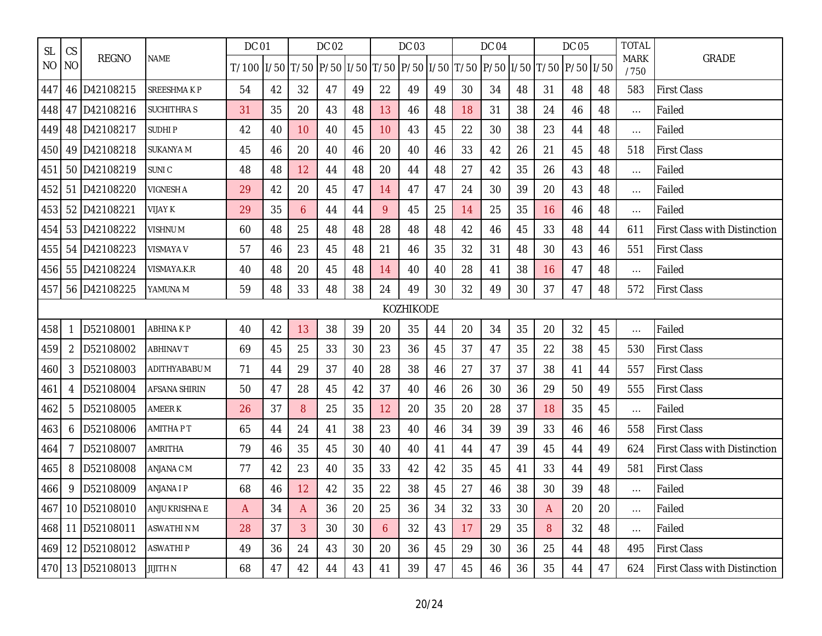| <b>SL</b> | <b>CS</b>      |                  |                   | DC 01      |    |    | DC 02 |    |    | DC 03     |    |    | DC 04 |    |                                                                        | DC 05 |    | <b>TOTAL</b>        |                                     |
|-----------|----------------|------------------|-------------------|------------|----|----|-------|----|----|-----------|----|----|-------|----|------------------------------------------------------------------------|-------|----|---------------------|-------------------------------------|
| NO.       | <b>NO</b>      | <b>REGNO</b>     | <b>NAME</b>       | T/100 1/50 |    |    |       |    |    |           |    |    |       |    | T/50  P/50  I/50  T/50  P/50  I/50  T/50  P/50  I/50  T/50  P/50  I/50 |       |    | <b>MARK</b><br>/750 | <b>GRADE</b>                        |
| 447       |                | 46 D42108215     | SREESHMA K P      | 54         | 42 | 32 | 47    | 49 | 22 | 49        | 49 | 30 | 34    | 48 | 31                                                                     | 48    | 48 | 583                 | <b>First Class</b>                  |
| 448       |                | 47 D42108216     | <b>SUCHITHRAS</b> | 31         | 35 | 20 | 43    | 48 | 13 | 46        | 48 | 18 | 31    | 38 | 24                                                                     | 46    | 48 | $\ldots$            | Failed                              |
| 449       |                | 48 D42108217     | <b>SUDHIP</b>     | 42         | 40 | 10 | 40    | 45 | 10 | 43        | 45 | 22 | 30    | 38 | 23                                                                     | 44    | 48 | $\dots$             | Failed                              |
| 450       |                | 49 D42108218     | <b>SUKANYA M</b>  | 45         | 46 | 20 | 40    | 46 | 20 | 40        | 46 | 33 | 42    | 26 | 21                                                                     | 45    | 48 | 518                 | <b>First Class</b>                  |
| 451       |                | 50 D42108219     | <b>SUNIC</b>      | 48         | 48 | 12 | 44    | 48 | 20 | 44        | 48 | 27 | 42    | 35 | 26                                                                     | 43    | 48 | $\ldots$            | Failed                              |
| 452       |                | 51 D42108220     | VIGNESH A         | 29         | 42 | 20 | 45    | 47 | 14 | 47        | 47 | 24 | 30    | 39 | 20                                                                     | 43    | 48 | $\ldots$            | Failed                              |
| 453       |                | 52 D42108221     | <b>VIJAY K</b>    | 29         | 35 | 6  | 44    | 44 | 9  | 45        | 25 | 14 | 25    | 35 | 16                                                                     | 46    | 48 | $\dots$             | Failed                              |
| 454       |                | 53 D42108222     | VISHNU M          | 60         | 48 | 25 | 48    | 48 | 28 | 48        | 48 | 42 | 46    | 45 | 33                                                                     | 48    | 44 | 611                 | <b>First Class with Distinction</b> |
| 455       |                | 54 D42108223     | <b>VISMAYA V</b>  | 57         | 46 | 23 | 45    | 48 | 21 | 46        | 35 | 32 | 31    | 48 | 30                                                                     | 43    | 46 | 551                 | <b>First Class</b>                  |
| 456       |                | 55 D42108224     | VISMAYA.K.R       | 40         | 48 | 20 | 45    | 48 | 14 | 40        | 40 | 28 | 41    | 38 | 16                                                                     | 47    | 48 | $\ldots$            | Failed                              |
| 457       |                | 56 D42108225     | YAMUNA M          | 59         | 48 | 33 | 48    | 38 | 24 | 49        | 30 | 32 | 49    | 30 | 37                                                                     | 47    | 48 | 572                 | <b>First Class</b>                  |
|           |                |                  |                   |            |    |    |       |    |    | KOZHIKODE |    |    |       |    |                                                                        |       |    |                     |                                     |
| 458       | $\mathbf 1$    | D52108001        | ABHINA K P        | 40         | 42 | 13 | 38    | 39 | 20 | 35        | 44 | 20 | 34    | 35 | 20                                                                     | 32    | 45 | $\ldots$            | Failed                              |
| 459       | $\overline{2}$ | D52108002        | <b>ABHINAV T</b>  | 69         | 45 | 25 | 33    | 30 | 23 | 36        | 45 | 37 | 47    | 35 | 22                                                                     | 38    | 45 | 530                 | <b>First Class</b>                  |
| 460       | 3              | D52108003        | ADITHYABABU M     | 71         | 44 | 29 | 37    | 40 | 28 | 38        | 46 | 27 | 37    | 37 | 38                                                                     | 41    | 44 | 557                 | <b>First Class</b>                  |
| 461       | 4              | D52108004        | AFSANA SHIRIN     | 50         | 47 | 28 | 45    | 42 | 37 | 40        | 46 | 26 | 30    | 36 | 29                                                                     | 50    | 49 | 555                 | <b>First Class</b>                  |
| 462       | 5              | D52108005        | <b>AMEER K</b>    | 26         | 37 | 8  | 25    | 35 | 12 | 20        | 35 | 20 | 28    | 37 | 18                                                                     | 35    | 45 | $\ldots$            | Failed                              |
| 463       | 6              | D52108006        | AMITHA PT         | 65         | 44 | 24 | 41    | 38 | 23 | 40        | 46 | 34 | 39    | 39 | 33                                                                     | 46    | 46 | 558                 | <b>First Class</b>                  |
| 464       | 7              | D52108007        | AMRITHA           | 79         | 46 | 35 | 45    | 30 | 40 | 40        | 41 | 44 | 47    | 39 | 45                                                                     | 44    | 49 | 624                 | <b>First Class with Distinction</b> |
| 465       | 8              | D52108008        | ANJANA C M        | 77         | 42 | 23 | 40    | 35 | 33 | 42        | 42 | 35 | 45    | 41 | 33                                                                     | 44    | 49 | 581                 | <b>First Class</b>                  |
| 466       | 9              | D52108009        | <b>ANJANA I P</b> | 68         | 46 | 12 | 42    | 35 | 22 | 38        | 45 | 27 | 46    | 38 | 30                                                                     | 39    | 48 | $\dots$             | Failed                              |
| 467       |                | 10 D52108010     | ANJU KRISHNA E    | A          | 34 | A  | 36    | 20 | 25 | 36        | 34 | 32 | 33    | 30 | A                                                                      | 20    | 20 | $\dots$             | Failed                              |
| 468       |                | 11 D52108011     | <b>ASWATHINM</b>  | 28         | 37 | 3  | 30    | 30 | 6  | 32        | 43 | 17 | 29    | 35 | 8                                                                      | 32    | 48 | $\dots$             | Failed                              |
| 469       |                | 12 D52108012     | ASWATHI P         | 49         | 36 | 24 | 43    | 30 | 20 | 36        | 45 | 29 | 30    | 36 | 25                                                                     | 44    | 48 | 495                 | <b>First Class</b>                  |
|           |                | 470 13 D52108013 | JIJITH N          | 68         | 47 | 42 | 44    | 43 | 41 | 39        | 47 | 45 | 46    | 36 | 35                                                                     | 44    | 47 | 624                 | <b>First Class with Distinction</b> |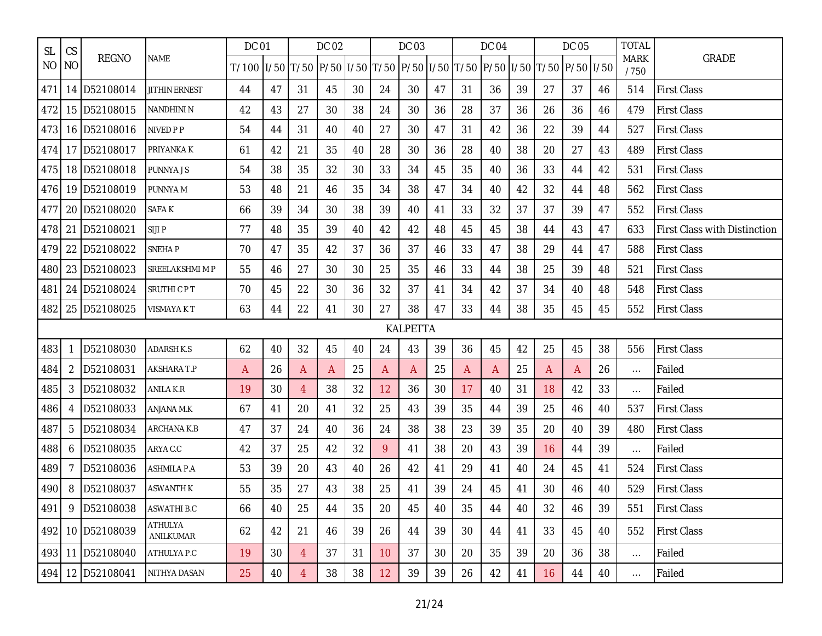| <b>SL</b> | CS  |                  |                      | DC 01                                                                                            |    |                | DC 02 |    |    | DC 03           |    |    | <b>DC 04</b> |    |    | <b>DC 05</b> |    | <b>TOTAL</b>        |                                     |
|-----------|-----|------------------|----------------------|--------------------------------------------------------------------------------------------------|----|----------------|-------|----|----|-----------------|----|----|--------------|----|----|--------------|----|---------------------|-------------------------------------|
| NO.       | NO. | <b>REGNO</b>     | <b>NAME</b>          | T/100   1/50   T/50   P/50   1/50   T/50   P/50   1/50   T/50   P/50   1/50   T/50   P/50   1/50 |    |                |       |    |    |                 |    |    |              |    |    |              |    | <b>MARK</b><br>/750 | <b>GRADE</b>                        |
| 471       |     | 14 D52108014     | <b>JITHIN ERNEST</b> | 44                                                                                               | 47 | 31             | 45    | 30 | 24 | 30              | 47 | 31 | 36           | 39 | 27 | 37           | 46 | 514                 | <b>First Class</b>                  |
| 472       |     | 15 D52108015     | <b>NANDHINI N</b>    | 42                                                                                               | 43 | 27             | 30    | 38 | 24 | 30              | 36 | 28 | 37           | 36 | 26 | 36           | 46 | 479                 | <b>First Class</b>                  |
| 473       |     | 16 D52108016     | <b>NIVED P P</b>     | 54                                                                                               | 44 | 31             | 40    | 40 | 27 | 30              | 47 | 31 | 42           | 36 | 22 | 39           | 44 | 527                 | <b>First Class</b>                  |
| 474       |     | 17 D52108017     | PRIYANKA K           | 61                                                                                               | 42 | 21             | 35    | 40 | 28 | 30              | 36 | 28 | 40           | 38 | 20 | 27           | 43 | 489                 | <b>First Class</b>                  |
| 475       |     | 18 D52108018     | PUNNYA J S           | 54                                                                                               | 38 | 35             | 32    | 30 | 33 | 34              | 45 | 35 | 40           | 36 | 33 | 44           | 42 | 531                 | <b>First Class</b>                  |
| 476       |     | 19 D52108019     | PUNNYA M             | 53                                                                                               | 48 | 21             | 46    | 35 | 34 | 38              | 47 | 34 | 40           | 42 | 32 | 44           | 48 | 562                 | <b>First Class</b>                  |
| 477       |     | 20 D52108020     | SAFA K               | 66                                                                                               | 39 | 34             | 30    | 38 | 39 | 40              | 41 | 33 | 32           | 37 | 37 | 39           | 47 | 552                 | <b>First Class</b>                  |
| 478       |     | 21 D52108021     | SIJI P               | 77                                                                                               | 48 | 35             | 39    | 40 | 42 | 42              | 48 | 45 | 45           | 38 | 44 | 43           | 47 | 633                 | <b>First Class with Distinction</b> |
| 479       |     | 22 D52108022     | <b>SNEHAP</b>        | 70                                                                                               | 47 | 35             | 42    | 37 | 36 | 37              | 46 | 33 | 47           | 38 | 29 | 44           | 47 | 588                 | <b>First Class</b>                  |
| 480       |     | 23 D52108023     | SREELAKSHMI M P      | 55                                                                                               | 46 | 27             | 30    | 30 | 25 | 35              | 46 | 33 | 44           | 38 | 25 | 39           | 48 | 521                 | <b>First Class</b>                  |
| 481       |     | 24 D52108024     | SRUTHICPT            | 70                                                                                               | 45 | 22             | 30    | 36 | 32 | 37              | 41 | 34 | 42           | 37 | 34 | 40           | 48 | 548                 | <b>First Class</b>                  |
| 482       |     | 25 D52108025     | <b>VISMAYAKT</b>     | 63                                                                                               | 44 | 22             | 41    | 30 | 27 | 38              | 47 | 33 | 44           | 38 | 35 | 45           | 45 | 552                 | <b>First Class</b>                  |
|           |     |                  |                      |                                                                                                  |    |                |       |    |    | <b>KALPETTA</b> |    |    |              |    |    |              |    |                     |                                     |
| 483       |     | D52108030        | <b>ADARSH K.S</b>    | 62                                                                                               | 40 | 32             | 45    | 40 | 24 | 43              | 39 | 36 | 45           | 42 | 25 | 45           | 38 | 556                 | <b>First Class</b>                  |
| 484       | 2   | D52108031        | AKSHARA T.P          | A                                                                                                | 26 | A              | A     | 25 | A  | A               | 25 | A  | A            | 25 | A  | A            | 26 | $\ldots$            | Failed                              |
| 485       | 3   | D52108032        | <b>ANILA K.R</b>     | 19                                                                                               | 30 | 4              | 38    | 32 | 12 | 36              | 30 | 17 | 40           | 31 | 18 | 42           | 33 | $\ldots$            | Failed                              |
| 486       | 4   | D52108033        | ANJANA M.K           | 67                                                                                               | 41 | 20             | 41    | 32 | 25 | 43              | 39 | 35 | 44           | 39 | 25 | 46           | 40 | 537                 | <b>First Class</b>                  |
| 487       | 5   | D52108034        | ARCHANA K.B          | 47                                                                                               | 37 | 24             | 40    | 36 | 24 | 38              | 38 | 23 | 39           | 35 | 20 | 40           | 39 | 480                 | <b>First Class</b>                  |
| 488       | 6   | D52108035        | ARYA C.C             | 42                                                                                               | 37 | 25             | 42    | 32 | 9  | 41              | 38 | 20 | 43           | 39 | 16 | 44           | 39 | $\ldots$            | Failed                              |
| 489       | 7   | D52108036        | ASHMILA P.A          | 53                                                                                               | 39 | 20             | 43    | 40 | 26 | 42              | 41 | 29 | 41           | 40 | 24 | 45           | 41 | 524                 | <b>First Class</b>                  |
| 490       | 8   | D52108037        | <b>ASWANTH K</b>     | 55                                                                                               | 35 | 27             | 43    | 38 | 25 | 41              | 39 | 24 | 45           | 41 | 30 | 46           | 40 | 529                 | <b>First Class</b>                  |
|           |     | 491 9 D52108038  | ASWATHI B.C          | 66                                                                                               | 40 | 25             | 44    | 35 | 20 | 45              | 40 | 35 | 44           | 40 | 32 | 46           | 39 | 551                 | <b>First Class</b>                  |
|           |     | 492 10 D52108039 | ATHULYA<br>ANILKUMAR | 62                                                                                               | 42 | 21             | 46    | 39 | 26 | 44              | 39 | 30 | 44           | 41 | 33 | 45           | 40 | 552                 | <b>First Class</b>                  |
|           |     | 493 11 D52108040 | ATHULYA P.C          | 19                                                                                               | 30 | 4              | 37    | 31 | 10 | 37              | 30 | 20 | 35           | 39 | 20 | 36           | 38 | $\ldots$            | Failed                              |
|           |     | 494 12 D52108041 | NITHYA DASAN         | 25                                                                                               | 40 | $\overline{4}$ | 38    | 38 | 12 | 39              | 39 | 26 | 42           | 41 | 16 | 44           | 40 | $\ldots$            | Failed                              |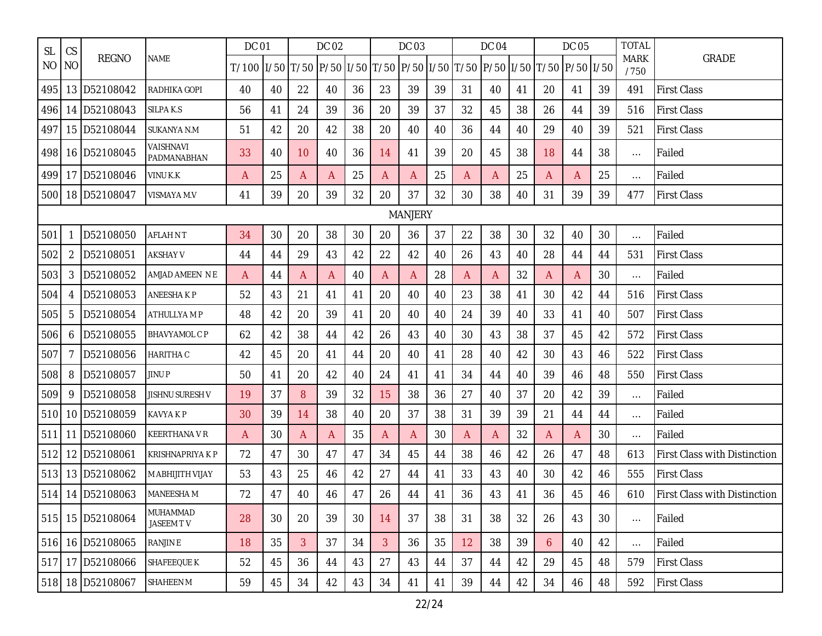| <b>SL</b> | CS             |                  |                          | <b>DC 01</b>                                                                                     |    |    | <b>DC 02</b> |    |                | DC 03          |    |    | <b>DC 04</b> |    |    | <b>DC 05</b> |    | <b>TOTAL</b>        |                                     |
|-----------|----------------|------------------|--------------------------|--------------------------------------------------------------------------------------------------|----|----|--------------|----|----------------|----------------|----|----|--------------|----|----|--------------|----|---------------------|-------------------------------------|
| NO.       | <b>NO</b>      | <b>REGNO</b>     | <b>NAME</b>              | T/100   1/50   T/50   P/50   1/50   T/50   P/50   1/50   T/50   P/50   1/50   T/50   P/50   1/50 |    |    |              |    |                |                |    |    |              |    |    |              |    | <b>MARK</b><br>/750 | <b>GRADE</b>                        |
| 495       |                | 13 D52108042     | RADHIKA GOPI             | 40                                                                                               | 40 | 22 | 40           | 36 | 23             | 39             | 39 | 31 | 40           | 41 | 20 | 41           | 39 | 491                 | <b>First Class</b>                  |
| 496       |                | 14 D52108043     | <b>SILPAK.S</b>          | 56                                                                                               | 41 | 24 | 39           | 36 | 20             | 39             | 37 | 32 | 45           | 38 | 26 | 44           | 39 | 516                 | <b>First Class</b>                  |
| 497       |                | 15 D52108044     | SUKANYA N.M              | 51                                                                                               | 42 | 20 | 42           | 38 | 20             | 40             | 40 | 36 | 44           | 40 | 29 | 40           | 39 | 521                 | <b>First Class</b>                  |
| 498       |                | 16 D52108045     | VAISHNAVI<br>PADMANABHAN | 33                                                                                               | 40 | 10 | 40           | 36 | 14             | 41             | 39 | 20 | 45           | 38 | 18 | 44           | 38 | $\ldots$            | Failed                              |
| 499       |                | 17 D52108046     | VINU K.K                 | A                                                                                                | 25 | A  | A            | 25 | A              | A              | 25 | A  | A            | 25 | A  | A            | 25 | $\ldots$            | Failed                              |
| 500       |                | 18 D52108047     | VISMAYA M.V              | 41                                                                                               | 39 | 20 | 39           | 32 | 20             | 37             | 32 | 30 | 38           | 40 | 31 | 39           | 39 | 477                 | <b>First Class</b>                  |
|           |                |                  |                          |                                                                                                  |    |    |              |    |                | <b>MANJERY</b> |    |    |              |    |    |              |    |                     |                                     |
| 501       | -1             | D52108050        | <b>AFLAHNT</b>           | 34                                                                                               | 30 | 20 | 38           | 30 | 20             | 36             | 37 | 22 | 38           | 30 | 32 | 40           | 30 | $\ldots$            | Failed                              |
| 502       | $\overline{2}$ | D52108051        | <b>AKSHAY V</b>          | 44                                                                                               | 44 | 29 | 43           | 42 | 22             | 42             | 40 | 26 | 43           | 40 | 28 | 44           | 44 | 531                 | <b>First Class</b>                  |
| 503       | 3              | D52108052        | AMJAD AMEEN N E          | A                                                                                                | 44 | A  | A            | 40 | A              | A              | 28 | A  | A            | 32 | A  | A            | 30 | $\dots$             | Failed                              |
| 504       | 4              | D52108053        | <b>ANEESHAKP</b>         | 52                                                                                               | 43 | 21 | 41           | 41 | 20             | 40             | 40 | 23 | 38           | 41 | 30 | 42           | 44 | 516                 | <b>First Class</b>                  |
| 505       | 5              | D52108054        | <b>ATHULLYAMP</b>        | 48                                                                                               | 42 | 20 | 39           | 41 | 20             | 40             | 40 | 24 | 39           | 40 | 33 | 41           | 40 | 507                 | <b>First Class</b>                  |
| 506       | 6              | D52108055        | <b>BHAVYAMOL C P</b>     | 62                                                                                               | 42 | 38 | 44           | 42 | 26             | 43             | 40 | 30 | 43           | 38 | 37 | 45           | 42 | 572                 | <b>First Class</b>                  |
| 507       | 7              | D52108056        | <b>HARITHA C</b>         | 42                                                                                               | 45 | 20 | 41           | 44 | 20             | 40             | 41 | 28 | 40           | 42 | 30 | 43           | 46 | 522                 | <b>First Class</b>                  |
| 508       | 8              | D52108057        | JINU P                   | 50                                                                                               | 41 | 20 | 42           | 40 | 24             | 41             | 41 | 34 | 44           | 40 | 39 | 46           | 48 | 550                 | <b>First Class</b>                  |
| 509       | 9              | D52108058        | <b>JISHNU SURESH V</b>   | 19                                                                                               | 37 | 8  | 39           | 32 | 15             | 38             | 36 | 27 | 40           | 37 | 20 | 42           | 39 | $\dots$             | Failed                              |
| 510       |                | 10 D52108059     | <b>KAVYA K P</b>         | 30                                                                                               | 39 | 14 | 38           | 40 | 20             | 37             | 38 | 31 | 39           | 39 | 21 | 44           | 44 | $\ldots$            | Failed                              |
| 511       |                | 11 D52108060     | <b>KEERTHANA V R</b>     | A                                                                                                | 30 | A  | A            | 35 | A              | A              | 30 | A  | Α            | 32 | A  | A            | 30 | $\ldots$            | Failed                              |
| 512       |                | 12 D52108061     | <b>KRISHNAPRIYA K P</b>  | 72                                                                                               | 47 | 30 | 47           | 47 | 34             | 45             | 44 | 38 | 46           | 42 | 26 | 47           | 48 | 613                 | <b>First Class with Distinction</b> |
| 513       |                | 13 D52108062     | M ABHIJITH VIJAY         | 53                                                                                               | 43 | 25 | 46           | 42 | 27             | 44             | 41 | 33 | 43           | 40 | 30 | 42           | 46 | 555                 | <b>First Class</b>                  |
|           |                | 514 14 D52108063 | <b>MANEESHA M</b>        | 72                                                                                               | 47 | 40 | 46           | 47 | 26             | 44             | 41 | 36 | 43           | 41 | 36 | 45           | 46 | 610                 | <b>First Class with Distinction</b> |
| 515       |                | 15 D52108064     | MUHAMMAD<br>JASEEM TV    | 28                                                                                               | 30 | 20 | 39           | 30 | 14             | 37             | 38 | 31 | 38           | 32 | 26 | 43           | 30 | $\ldots$            | Failed                              |
| 516       |                | 16 D52108065     | <b>RANJINE</b>           | 18                                                                                               | 35 | 3  | 37           | 34 | 3 <sup>2</sup> | 36             | 35 | 12 | 38           | 39 | 6  | 40           | 42 | $\ldots$            | Failed                              |
| 517       |                | 17 D52108066     | SHAFEEQUE K              | 52                                                                                               | 45 | 36 | 44           | 43 | 27             | 43             | 44 | 37 | 44           | 42 | 29 | 45           | 48 | 579                 | <b>First Class</b>                  |
| 518       |                | 18 D52108067     | SHAHEEN M                | 59                                                                                               | 45 | 34 | 42           | 43 | 34             | 41             | 41 | 39 | 44           | 42 | 34 | 46           | 48 | 592                 | <b>First Class</b>                  |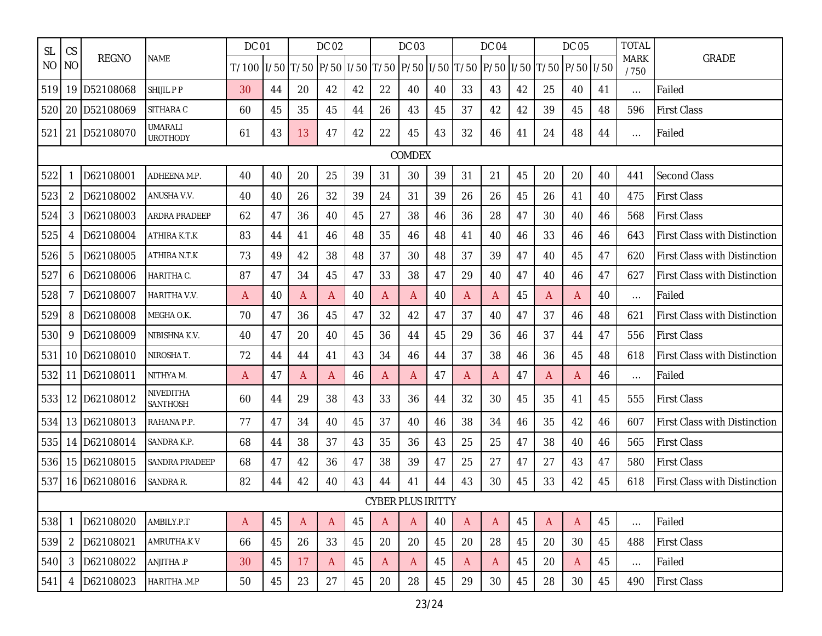| <b>SL</b> | CS             |              |                                   | <b>DC 01</b>                                                                                     |    |           | <b>DC 02</b> |    |                          | DC 03  |    |    | <b>DC 04</b> |    |              | <b>DC 05</b> |    | <b>TOTAL</b>        |                                     |
|-----------|----------------|--------------|-----------------------------------|--------------------------------------------------------------------------------------------------|----|-----------|--------------|----|--------------------------|--------|----|----|--------------|----|--------------|--------------|----|---------------------|-------------------------------------|
| NO.       | <b>NO</b>      | <b>REGNO</b> | NAME                              | T/100   1/50   T/50   P/50   1/50   T/50   P/50   1/50   T/50   P/50   1/50   T/50   P/50   1/50 |    |           |              |    |                          |        |    |    |              |    |              |              |    | <b>MARK</b><br>/750 | <b>GRADE</b>                        |
| 519       |                | 19 D52108068 | <b>SHIJIL P P</b>                 | 30                                                                                               | 44 | 20        | 42           | 42 | 22                       | 40     | 40 | 33 | 43           | 42 | 25           | 40           | 41 | $\ldots$            | Failed                              |
| 520       |                | 20 D52108069 | SITHARA C                         | 60                                                                                               | 45 | 35        | 45           | 44 | 26                       | 43     | 45 | 37 | 42           | 42 | 39           | 45           | 48 | 596                 | <b>First Class</b>                  |
| 521       |                | 21 D52108070 | <b>UMARALI</b><br><b>UROTHODY</b> | 61                                                                                               | 43 | 13        | 47           | 42 | 22                       | 45     | 43 | 32 | 46           | 41 | 24           | 48           | 44 | $\ldots$            | Failed                              |
|           |                |              |                                   |                                                                                                  |    |           |              |    |                          | COMDEX |    |    |              |    |              |              |    |                     |                                     |
| 522       |                | D62108001    | ADHEENA M.P.                      | 40                                                                                               | 40 | 20        | 25           | 39 | 31                       | 30     | 39 | 31 | 21           | 45 | 20           | 20           | 40 | 441                 | <b>Second Class</b>                 |
| 523       | $\overline{2}$ | D62108002    | ANUSHA V.V.                       | 40                                                                                               | 40 | 26        | 32           | 39 | 24                       | 31     | 39 | 26 | 26           | 45 | 26           | 41           | 40 | 475                 | <b>First Class</b>                  |
| 524       | 3              | D62108003    | <b>ARDRA PRADEEP</b>              | 62                                                                                               | 47 | 36        | 40           | 45 | 27                       | 38     | 46 | 36 | 28           | 47 | 30           | 40           | 46 | 568                 | <b>First Class</b>                  |
| 525       | 4              | D62108004    | ATHIRA K.T.K                      | 83                                                                                               | 44 | 41        | 46           | 48 | 35                       | 46     | 48 | 41 | 40           | 46 | 33           | 46           | 46 | 643                 | <b>First Class with Distinction</b> |
| 526       | 5              | D62108005    | ATHIRA N.T.K                      | 73                                                                                               | 49 | 42        | 38           | 48 | 37                       | 30     | 48 | 37 | 39           | 47 | 40           | 45           | 47 | 620                 | <b>First Class with Distinction</b> |
| 527       | 6              | D62108006    | HARITHA C.                        | 87                                                                                               | 47 | 34        | 45           | 47 | 33                       | 38     | 47 | 29 | 40           | 47 | 40           | 46           | 47 | 627                 | First Class with Distinction        |
| 528       | 7              | D62108007    | HARITHA V.V.                      | A                                                                                                | 40 | A         | A            | 40 | A                        | A      | 40 | A  | A            | 45 | A            | A            | 40 | $\ldots$            | Failed                              |
| 529       | 8              | D62108008    | MEGHA O.K.                        | 70                                                                                               | 47 | 36        | 45           | 47 | 32                       | 42     | 47 | 37 | 40           | 47 | 37           | 46           | 48 | 621                 | <b>First Class with Distinction</b> |
| 530       | 9              | D62108009    | NIBISHNA K.V.                     | 40                                                                                               | 47 | 20        | 40           | 45 | 36                       | 44     | 45 | 29 | 36           | 46 | 37           | 44           | 47 | 556                 | <b>First Class</b>                  |
| 531       |                | 10 D62108010 | NIROSHA T.                        | 72                                                                                               | 44 | 44        | 41           | 43 | 34                       | 46     | 44 | 37 | 38           | 46 | 36           | 45           | 48 | 618                 | <b>First Class with Distinction</b> |
| 532       |                | 11 D62108011 | NITHYA M.                         | A                                                                                                | 47 | A         | A            | 46 | A                        | A      | 47 | A  | A            | 47 | A            | A            | 46 | $\ldots$            | Failed                              |
| 533       |                | 12 D62108012 | NIVEDITHA<br>SANTHOSH             | 60                                                                                               | 44 | 29        | 38           | 43 | 33                       | 36     | 44 | 32 | 30           | 45 | 35           | 41           | 45 | 555                 | <b>First Class</b>                  |
| 534       |                | 13 D62108013 | RAHANA P.P.                       | 77                                                                                               | 47 | 34        | 40           | 45 | 37                       | 40     | 46 | 38 | 34           | 46 | 35           | 42           | 46 | 607                 | <b>First Class with Distinction</b> |
| 535       |                | 14 D62108014 | SANDRA K.P.                       | 68                                                                                               | 44 | 38        | 37           | 43 | 35                       | 36     | 43 | 25 | 25           | 47 | 38           | 40           | 46 | 565                 | <b>First Class</b>                  |
| 536       |                | 15 D62108015 | <b>SANDRA PRADEEP</b>             | 68                                                                                               | 47 | 42        | 36           | 47 | 38                       | 39     | 47 | 25 | 27           | 47 | 27           | 43           | 47 | 580                 | <b>First Class</b>                  |
| 537       |                | 16 D62108016 | SANDRA R.                         | 82                                                                                               | 44 | 42        | 40           | 43 | 44                       | 41     | 44 | 43 | 30           | 45 | 33           | 42           | 45 | 618                 | <b>First Class with Distinction</b> |
|           |                |              |                                   |                                                                                                  |    |           |              |    | <b>CYBER PLUS IRITTY</b> |        |    |    |              |    |              |              |    |                     |                                     |
| 538       |                | D62108020    | AMBILY.P.T                        | A                                                                                                | 45 | A         | $\mathsf{A}$ | 45 | A                        | A      | 40 | A  | A            | 45 | $\mathsf{A}$ | A            | 45 | $\ldots$            | Failed                              |
| 539       | $\overline{2}$ | D62108021    | AMRUTHA.K V                       | 66                                                                                               | 45 | 26        | 33           | 45 | 20                       | 20     | 45 | 20 | 28           | 45 | 20           | 30           | 45 | 488                 | <b>First Class</b>                  |
| 540       | 3              | D62108022    | ANJITHA .P                        | 30                                                                                               | 45 | <u>17</u> | $\mathsf{A}$ | 45 | A,                       | A      | 45 | A  | A            | 45 | 20           | A            | 45 | $\ldots$            | Failed                              |
| 541       | 4              | D62108023    | HARITHA .M.P                      | 50                                                                                               | 45 | 23        | 27           | 45 | 20                       | 28     | 45 | 29 | 30           | 45 | 28           | 30           | 45 | 490                 | <b>First Class</b>                  |